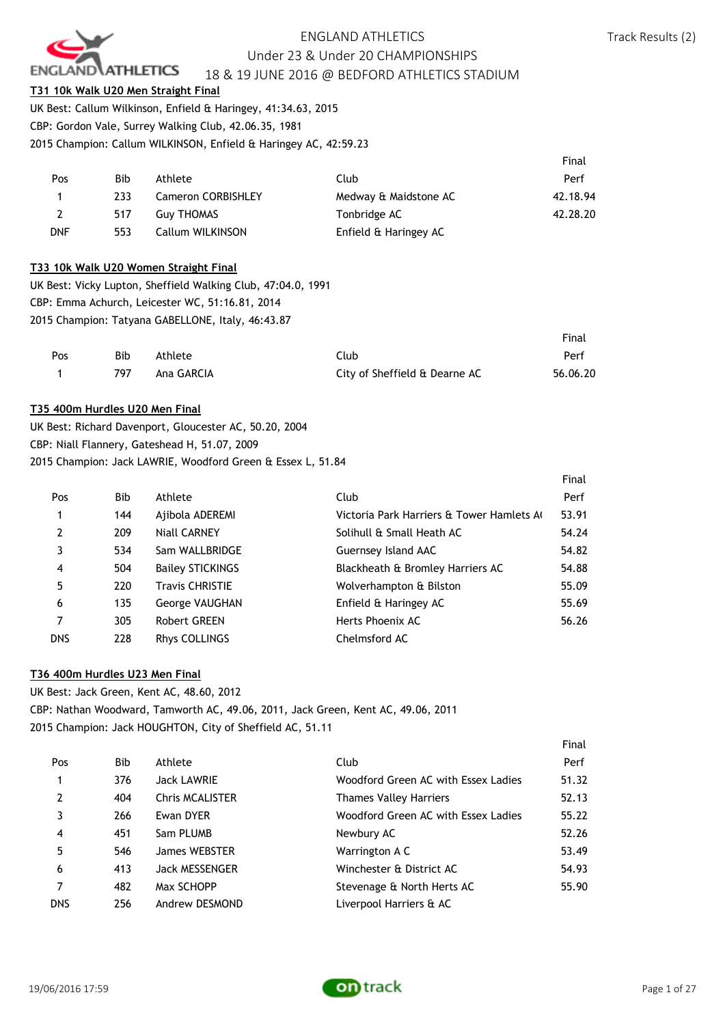

#### **T31 10k Walk U20 Men Straight Final**

UK Best: Callum Wilkinson, Enfield & Haringey, 41:34.63, 2015 CBP: Gordon Vale, Surrey Walking Club, 42.06.35, 1981 2015 Champion: Callum WILKINSON, Enfield & Haringey AC, 42:59.23

|            |     |                           |                       | Final    |
|------------|-----|---------------------------|-----------------------|----------|
| Pos        | Bib | Athlete                   | Club                  | Perf     |
|            | 233 | <b>Cameron CORBISHLEY</b> | Medway & Maidstone AC | 42.18.94 |
| 2          | 517 | <b>Guy THOMAS</b>         | Tonbridge AC          | 42.28.20 |
| <b>DNF</b> | 553 | Callum WILKINSON          | Enfield & Haringey AC |          |

#### **T33 10k Walk U20 Women Straight Final**

UK Best: Vicky Lupton, Sheffield Walking Club, 47:04.0, 1991 CBP: Emma Achurch, Leicester WC, 51:16.81, 2014 2015 Champion: Tatyana GABELLONE, Italy, 46:43.87

|     |     |            |                               | Final    |
|-----|-----|------------|-------------------------------|----------|
| Pos | Bib | Athlete    | Club                          | Perf     |
|     | 797 | Ana GARCIA | City of Sheffield & Dearne AC | 56.06.20 |

#### **T35 400m Hurdles U20 Men Final**

UK Best: Richard Davenport, Gloucester AC, 50.20, 2004 CBP: Niall Flannery, Gateshead H, 51.07, 2009 2015 Champion: Jack LAWRIE, Woodford Green & Essex L, 51.84

|                |            |                         |                                          | Final |
|----------------|------------|-------------------------|------------------------------------------|-------|
| Pos            | <b>Bib</b> | Athlete                 | Club                                     | Perf  |
| 1              | 144        | Ajibola ADEREMI         | Victoria Park Harriers & Tower Hamlets A | 53.91 |
| $\overline{2}$ | 209        | Niall CARNEY            | Solihull & Small Heath AC                | 54.24 |
| 3              | 534        | Sam WALLBRIDGE          | Guernsey Island AAC                      | 54.82 |
| 4              | 504        | <b>Bailey STICKINGS</b> | Blackheath & Bromley Harriers AC         | 54.88 |
| 5              | 220        | <b>Travis CHRISTIE</b>  | Wolverhampton & Bilston                  | 55.09 |
| 6              | 135        | <b>George VAUGHAN</b>   | Enfield & Haringey AC                    | 55.69 |
| 7              | 305        | Robert GREEN            | Herts Phoenix AC                         | 56.26 |
| <b>DNS</b>     | 228        | Rhys COLLINGS           | Chelmsford AC                            |       |

#### **T36 400m Hurdles U23 Men Final**

UK Best: Jack Green, Kent AC, 48.60, 2012 CBP: Nathan Woodward, Tamworth AC, 49.06, 2011, Jack Green, Kent AC, 49.06, 2011 2015 Champion: Jack HOUGHTON, City of Sheffield AC, 51.11

| Pos            | Bib. | Athlete                | Club                                | Perf  |
|----------------|------|------------------------|-------------------------------------|-------|
| 1              | 376  | <b>Jack LAWRIE</b>     | Woodford Green AC with Essex Ladies | 51.32 |
| $\overline{2}$ | 404  | <b>Chris MCALISTER</b> | Thames Valley Harriers              | 52.13 |
|                | 266  | Ewan DYER              | Woodford Green AC with Essex Ladies | 55.22 |
| $\overline{4}$ | 451  | Sam PLUMB              | Newbury AC                          | 52.26 |
| 5              | 546  | James WEBSTER          | Warrington A C                      | 53.49 |
| 6              | 413  | Jack MESSENGER         | Winchester & District AC            | 54.93 |
|                | 482  | Max SCHOPP             | Stevenage & North Herts AC          | 55.90 |
| <b>DNS</b>     | 256  | Andrew DESMOND         | Liverpool Harriers & AC             |       |



Final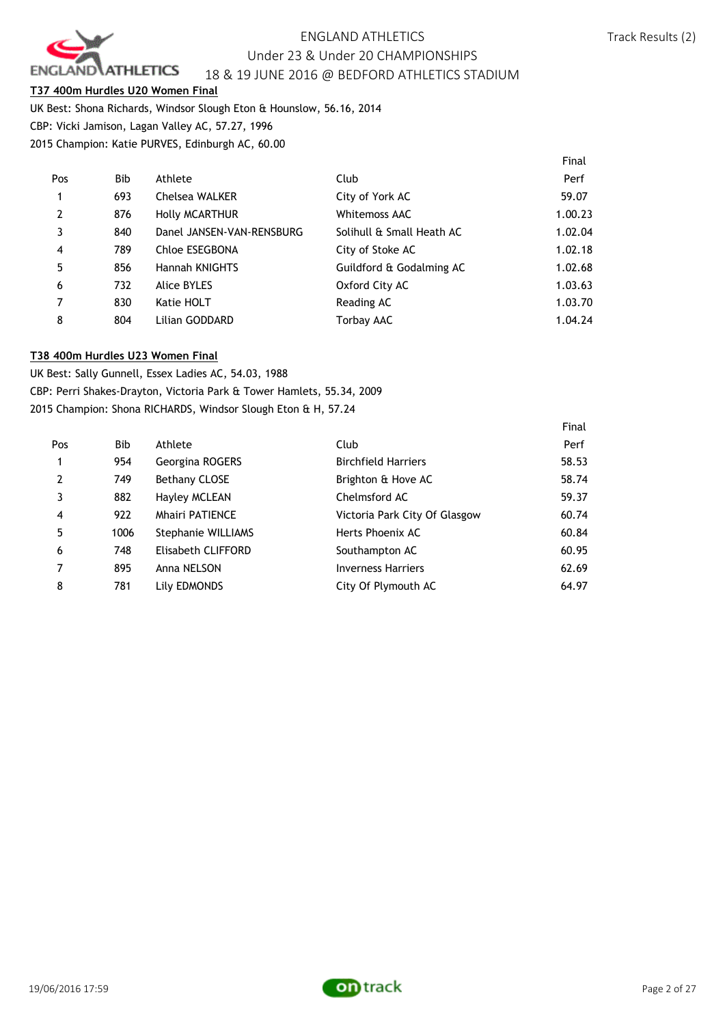

Final

#### **T37 400m Hurdles U20 Women Final**

UK Best: Shona Richards, Windsor Slough Eton & Hounslow, 56.16, 2014 CBP: Vicki Jamison, Lagan Valley AC, 57.27, 1996

2015 Champion: Katie PURVES, Edinburgh AC, 60.00

|     |                           |                           | Final   |
|-----|---------------------------|---------------------------|---------|
| Bib | Athlete                   | Club                      | Perf    |
| 693 | Chelsea WALKER            | City of York AC           | 59.07   |
| 876 | <b>Holly MCARTHUR</b>     | <b>Whitemoss AAC</b>      | 1.00.23 |
| 840 | Danel JANSEN-VAN-RENSBURG | Solihull & Small Heath AC | 1.02.04 |
| 789 | Chloe ESEGBONA            | City of Stoke AC          | 1.02.18 |
| 856 | Hannah KNIGHTS            | Guildford & Godalming AC  | 1.02.68 |
| 732 | <b>Alice BYLES</b>        | Oxford City AC            | 1.03.63 |
| 830 | Katie HOLT                | Reading AC                | 1.03.70 |
| 804 | Lilian GODDARD            | <b>Torbay AAC</b>         | 1.04.24 |
|     |                           |                           |         |

#### **T38 400m Hurdles U23 Women Final**

UK Best: Sally Gunnell, Essex Ladies AC, 54.03, 1988 CBP: Perri Shakes-Drayton, Victoria Park & Tower Hamlets, 55.34, 2009 2015 Champion: Shona RICHARDS, Windsor Slough Eton & H, 57.24

| Pos            | <b>Bib</b> | Athlete                   | Club                          | Perf  |
|----------------|------------|---------------------------|-------------------------------|-------|
| 1              | 954        | Georgina ROGERS           | <b>Birchfield Harriers</b>    | 58.53 |
| $\overline{2}$ | 749        | <b>Bethany CLOSE</b>      | Brighton & Hove AC            | 58.74 |
| 3              | 882        | Hayley MCLEAN             | Chelmsford AC                 | 59.37 |
| $\overline{4}$ | 922        | <b>Mhairi PATIENCE</b>    | Victoria Park City Of Glasgow | 60.74 |
| 5              | 1006       | <b>Stephanie WILLIAMS</b> | Herts Phoenix AC              | 60.84 |
| 6              | 748        | Elisabeth CLIFFORD        | Southampton AC                | 60.95 |
| 7              | 895        | Anna NELSON               | <b>Inverness Harriers</b>     | 62.69 |
| 8              | 781        | Lily EDMONDS              | City Of Plymouth AC           | 64.97 |

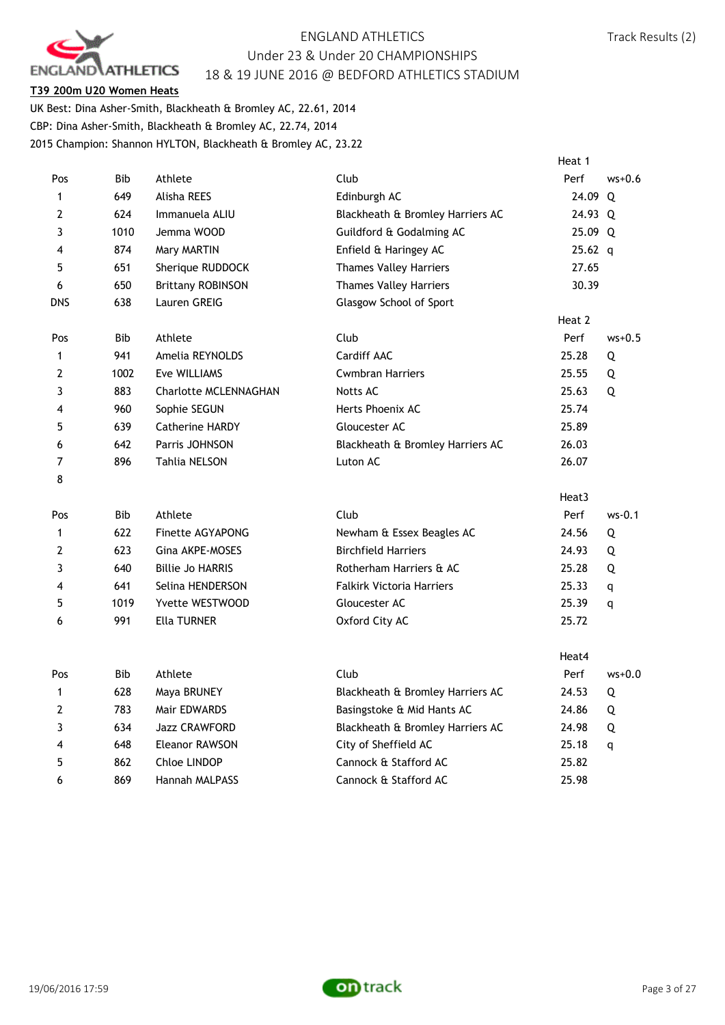

#### **T39 200m U20 Women Heats**

UK Best: Dina Asher-Smith, Blackheath & Bromley AC, 22.61, 2014 CBP: Dina Asher-Smith, Blackheath & Bromley AC, 22.74, 2014 2015 Champion: Shannon HYLTON, Blackheath & Bromley AC, 23.22

|                |            |                              |                                  | Heat 1    |          |
|----------------|------------|------------------------------|----------------------------------|-----------|----------|
| Pos            | Bib        | Athlete                      | Club                             | Perf      | $ws+0.6$ |
| $\mathbf{1}$   | 649        | Alisha REES                  | Edinburgh AC                     | 24.09 Q   |          |
| $\overline{2}$ | 624        | Immanuela ALIU               | Blackheath & Bromley Harriers AC | 24.93 Q   |          |
| 3              | 1010       | Jemma WOOD                   | Guildford & Godalming AC         | 25.09 Q   |          |
| 4              | 874        | Mary MARTIN                  | Enfield & Haringey AC            | $25.62$ q |          |
| 5              | 651        | Sherique RUDDOCK             | <b>Thames Valley Harriers</b>    | 27.65     |          |
| 6              | 650        | <b>Brittany ROBINSON</b>     | <b>Thames Valley Harriers</b>    | 30.39     |          |
| <b>DNS</b>     | 638        | Lauren GREIG                 | Glasgow School of Sport          |           |          |
|                |            |                              |                                  | Heat 2    |          |
| Pos            | <b>Bib</b> | Athlete                      | Club                             | Perf      | $ws+0.5$ |
| 1              | 941        | Amelia REYNOLDS              | Cardiff AAC                      | 25.28     | Q        |
| $\overline{2}$ | 1002       | Eve WILLIAMS                 | <b>Cwmbran Harriers</b>          | 25.55     | Q        |
| 3              | 883        | <b>Charlotte MCLENNAGHAN</b> | Notts AC                         | 25.63     | Q        |
| 4              | 960        | Sophie SEGUN                 | Herts Phoenix AC                 | 25.74     |          |
| 5              | 639        | <b>Catherine HARDY</b>       | Gloucester AC                    | 25.89     |          |
| 6              | 642        | Parris JOHNSON               | Blackheath & Bromley Harriers AC | 26.03     |          |
| $\overline{7}$ | 896        | Tahlia NELSON                | Luton AC                         | 26.07     |          |
| 8              |            |                              |                                  |           |          |
|                |            |                              |                                  | Heat3     |          |
| Pos            | <b>Bib</b> | Athlete                      | Club                             | Perf      | $ws-0.1$ |
| 1              | 622        | <b>Finette AGYAPONG</b>      | Newham & Essex Beagles AC        | 24.56     | Q        |
| $\overline{2}$ | 623        | Gina AKPE-MOSES              | <b>Birchfield Harriers</b>       | 24.93     | Q        |
| 3              | 640        | <b>Billie Jo HARRIS</b>      | Rotherham Harriers & AC          | 25.28     | Q        |
| 4              | 641        | Selina HENDERSON             | <b>Falkirk Victoria Harriers</b> | 25.33     | q        |
| 5              | 1019       | Yvette WESTWOOD              | Gloucester AC                    | 25.39     | q        |
| 6              | 991        | <b>Ella TURNER</b>           | Oxford City AC                   | 25.72     |          |
|                |            |                              |                                  |           |          |
|                |            |                              |                                  | Heat4     |          |
| Pos            | Bib        | Athlete                      | Club                             | Perf      | $ws+0.0$ |
| 1              | 628        | Maya BRUNEY                  | Blackheath & Bromley Harriers AC | 24.53     | Q        |
| $\overline{2}$ | 783        | Mair EDWARDS                 | Basingstoke & Mid Hants AC       | 24.86     | Q        |
| 3              | 634        | Jazz CRAWFORD                | Blackheath & Bromley Harriers AC | 24.98     | Q        |
| 4              | 648        | Eleanor RAWSON               | City of Sheffield AC             | 25.18     | q        |
| 5              | 862        | Chloe LINDOP                 | Cannock & Stafford AC            | 25.82     |          |
| 6              | 869        | Hannah MALPASS               | Cannock & Stafford AC            | 25.98     |          |

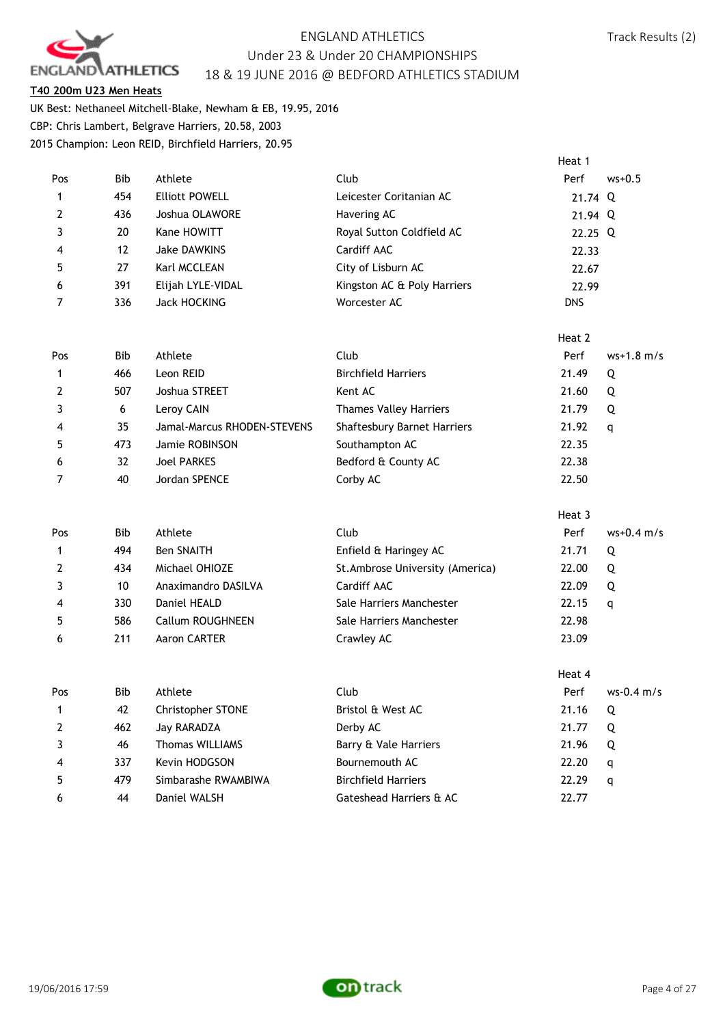

#### **T40 200m U23 Men Heats**

UK Best: Nethaneel Mitchell-Blake, Newham & EB, 19.95, 2016 CBP: Chris Lambert, Belgrave Harriers, 20.58, 2003 2015 Champion: Leon REID, Birchfield Harriers, 20.95

|                |            |                       |                             | Heat 1           |
|----------------|------------|-----------------------|-----------------------------|------------------|
| Pos            | <b>Bib</b> | Athlete               | Club                        | Perf<br>$ws+0.5$ |
|                | 454        | <b>Elliott POWELL</b> | Leicester Coritanian AC     | 21.74 $Q$        |
| $\overline{2}$ | 436        | Joshua OLAWORE        | Havering AC                 | 21.94 Q          |
|                | 20         | Kane HOWITT           | Royal Sutton Coldfield AC   | 22.25 Q          |
| 4              | 12         | Jake DAWKINS          | Cardiff AAC                 | 22.33            |
| 5              | 27         | Karl MCCLEAN          | City of Lisburn AC          | 22.67            |
| 6              | 391        | Elijah LYLE-VIDAL     | Kingston AC & Poly Harriers | 22.99            |
|                | 336        | Jack HOCKING          | Worcester AC                | <b>DNS</b>       |
|                |            |                       |                             |                  |

|                |            |                             |                                    | Heat 2 |              |
|----------------|------------|-----------------------------|------------------------------------|--------|--------------|
| Pos            | <b>Bib</b> | Athlete                     | Club                               | Perf   | $ws+1.8$ m/s |
| $\mathbf{1}$   | 466        | Leon REID                   | <b>Birchfield Harriers</b>         | 21.49  | Q            |
| 2              | 507        | Joshua STREET               | Kent AC                            | 21.60  | Q            |
| 3              | 6          | Leroy CAIN                  | <b>Thames Valley Harriers</b>      | 21.79  | Q            |
| $\overline{4}$ | 35         | Jamal-Marcus RHODEN-STEVENS | <b>Shaftesbury Barnet Harriers</b> | 21.92  | q            |
| 5              | 473        | Jamie ROBINSON              | Southampton AC                     | 22.35  |              |
| 6              | 32         | <b>Joel PARKES</b>          | Bedford & County AC                | 22.38  |              |
| $\overline{7}$ | 40         | Jordan SPENCE               | Corby AC                           | 22.50  |              |

|                |            |                     |                                  | Heat 3 |              |
|----------------|------------|---------------------|----------------------------------|--------|--------------|
| Pos            | <b>Bib</b> | Athlete             | Club                             | Perf   | $ws+0.4$ m/s |
| $\mathbf{1}$   | 494        | <b>Ben SNAITH</b>   | Enfield & Haringey AC            | 21.71  | Q            |
| 2              | 434        | Michael OHIOZE      | St. Ambrose University (America) | 22.00  | Q            |
| 3              | 10         | Anaximandro DASILVA | Cardiff AAC                      | 22.09  | Q            |
| $\overline{4}$ | 330        | Daniel HEALD        | Sale Harriers Manchester         | 22.15  | q            |
| 5              | 586        | Callum ROUGHNEEN    | Sale Harriers Manchester         | 22.98  |              |
| 6              | 211        | Aaron CARTER        | Crawley AC                       | 23.09  |              |
|                |            |                     |                                  |        |              |

|                |            |                          |                            | Heat 4 |              |
|----------------|------------|--------------------------|----------------------------|--------|--------------|
| Pos            | <b>Bib</b> | Athlete                  | Club                       | Perf   | $ws-0.4$ m/s |
| $\mathbf{1}$   | 42         | <b>Christopher STONE</b> | Bristol & West AC          | 21.16  | Q            |
| $\overline{2}$ | 462        | Jay RARADZA              | Derby AC                   | 21.77  | Q            |
|                | 46         | <b>Thomas WILLIAMS</b>   | Barry & Vale Harriers      | 21.96  | Q            |
| 4              | 337        | Kevin HODGSON            | Bournemouth AC             | 22.20  | q            |
| 5              | 479        | Simbarashe RWAMBIWA      | <b>Birchfield Harriers</b> | 22.29  | q            |
| 6              | 44         | Daniel WALSH             | Gateshead Harriers & AC    | 22.77  |              |

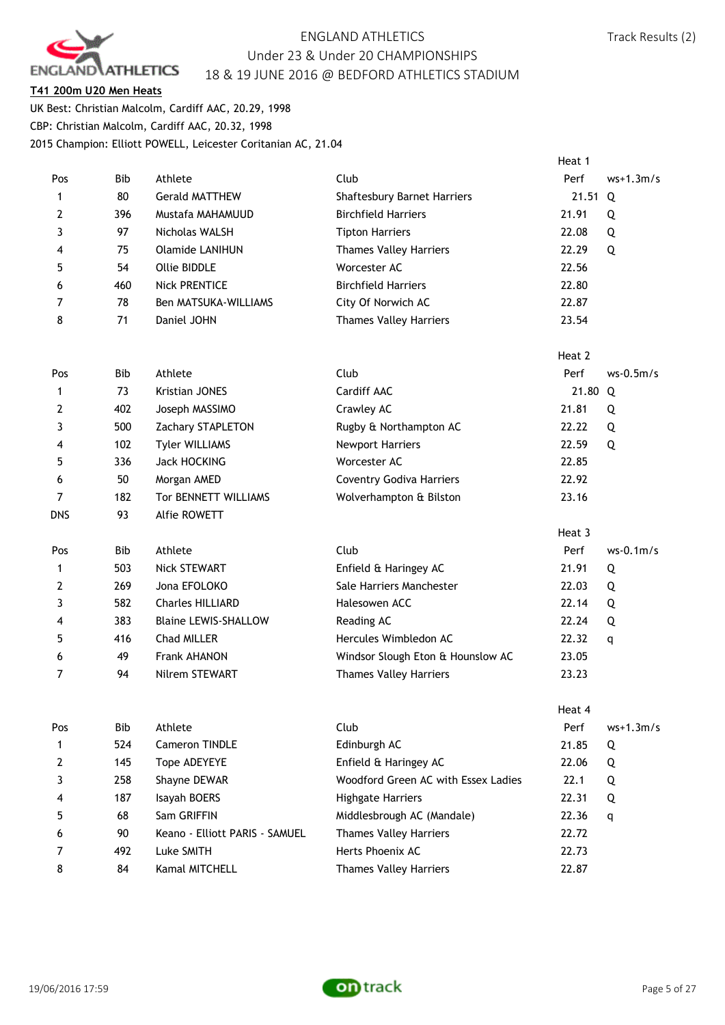

#### **T41 200m U20 Men Heats**

UK Best: Christian Malcolm, Cardiff AAC, 20.29, 1998 CBP: Christian Malcolm, Cardiff AAC, 20.32, 1998 2015 Champion: Elliott POWELL, Leicester Coritanian AC, 21.04

|                |            |                                |                                     | Heat 1 |             |
|----------------|------------|--------------------------------|-------------------------------------|--------|-------------|
| Pos            | Bib        | Athlete                        | Club                                | Perf   | $ws+1.3m/s$ |
| 1              | 80         | <b>Gerald MATTHEW</b>          | Shaftesbury Barnet Harriers         | 21.51  | Q           |
| 2              | 396        | Mustafa MAHAMUUD               | <b>Birchfield Harriers</b>          | 21.91  | Q           |
| 3              | 97         | Nicholas WALSH                 | <b>Tipton Harriers</b>              | 22.08  | Q           |
| 4              | 75         | <b>Olamide LANIHUN</b>         | <b>Thames Valley Harriers</b>       | 22.29  | Q           |
| 5              | 54         | Ollie BIDDLE                   | Worcester AC                        | 22.56  |             |
| 6              | 460        | <b>Nick PRENTICE</b>           | <b>Birchfield Harriers</b>          | 22.80  |             |
| 7              | 78         | <b>Ben MATSUKA-WILLIAMS</b>    | City Of Norwich AC                  | 22.87  |             |
| 8              | 71         | Daniel JOHN                    | <b>Thames Valley Harriers</b>       | 23.54  |             |
|                |            |                                |                                     | Heat 2 |             |
| Pos            | <b>Bib</b> | Athlete                        | Club                                | Perf   | $ws-0.5m/s$ |
| 1              | 73         | <b>Kristian JONES</b>          | Cardiff AAC                         | 21.80  | Q           |
| 2              | 402        | Joseph MASSIMO                 | Crawley AC                          | 21.81  | Q           |
| 3              | 500        | Zachary STAPLETON              | Rugby & Northampton AC              | 22.22  | Q           |
| 4              | 102        | <b>Tyler WILLIAMS</b>          | <b>Newport Harriers</b>             | 22.59  | Q           |
| 5              | 336        | <b>Jack HOCKING</b>            | Worcester AC                        | 22.85  |             |
| 6              | 50         | Morgan AMED                    | <b>Coventry Godiva Harriers</b>     | 22.92  |             |
| $\overline{7}$ | 182        | Tor BENNETT WILLIAMS           | Wolverhampton & Bilston             | 23.16  |             |
| <b>DNS</b>     | 93         | Alfie ROWETT                   |                                     |        |             |
|                |            |                                |                                     | Heat 3 |             |
| Pos            | Bib        | Athlete                        | Club                                | Perf   | $ws-0.1m/s$ |
| $\mathbf{1}$   | 503        | <b>Nick STEWART</b>            | Enfield & Haringey AC               | 21.91  | Q           |
| 2              | 269        | Jona EFOLOKO                   | Sale Harriers Manchester            | 22.03  | Q           |
| 3              | 582        | <b>Charles HILLIARD</b>        | Halesowen ACC                       | 22.14  | Q           |
| 4              | 383        | <b>Blaine LEWIS-SHALLOW</b>    | Reading AC                          | 22.24  | Q           |
| 5              | 416        | Chad MILLER                    | Hercules Wimbledon AC               | 22.32  | q           |
| 6              | 49         | <b>Frank AHANON</b>            | Windsor Slough Eton & Hounslow AC   | 23.05  |             |
| 7              | 94         | Nilrem STEWART                 | <b>Thames Valley Harriers</b>       | 23.23  |             |
|                |            |                                |                                     | Heat 4 |             |
| Pos            | Bib        | Athlete                        | Club                                | Perf   | $ws+1.3m/s$ |
| 1              | 524        | Cameron TINDLE                 | Edinburgh AC                        | 21.85  | Q           |
| 2              | 145        | Tope ADEYEYE                   | Enfield & Haringey AC               | 22.06  | Q           |
| 3              | 258        | Shayne DEWAR                   | Woodford Green AC with Essex Ladies | 22.1   | Q           |
| 4              | 187        | Isayah BOERS                   | Highgate Harriers                   | 22.31  | Q           |
| 5              | 68         | Sam GRIFFIN                    | Middlesbrough AC (Mandale)          | 22.36  | q           |
| 6              | 90         | Keano - Elliott PARIS - SAMUEL | <b>Thames Valley Harriers</b>       | 22.72  |             |
| 7              | 492        | Luke SMITH                     | Herts Phoenix AC                    | 22.73  |             |
| 8              | 84         | Kamal MITCHELL                 | <b>Thames Valley Harriers</b>       | 22.87  |             |

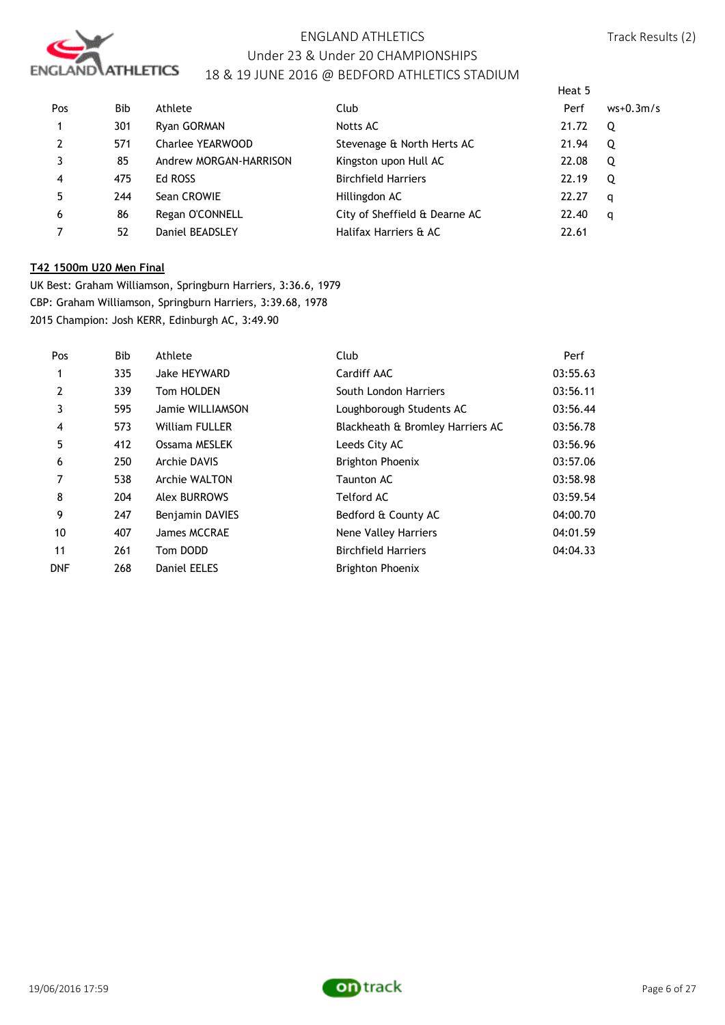

Heat 5

| Pos            | <b>Bib</b> | Athlete                | Club                          | Perf  | $ws+0.3m/s$ |
|----------------|------------|------------------------|-------------------------------|-------|-------------|
|                | 301        | Ryan GORMAN            | Notts AC                      | 21.72 | Q           |
| $\overline{2}$ | 571        | Charlee YEARWOOD       | Stevenage & North Herts AC    | 21.94 | Q           |
| 3              | 85         | Andrew MORGAN-HARRISON | Kingston upon Hull AC         | 22.08 | Q           |
| 4              | 475        | Ed ROSS                | <b>Birchfield Harriers</b>    | 22.19 | Q           |
| 5              | 244        | Sean CROWIE            | Hillingdon AC                 | 22.27 | q           |
| 6              | 86         | Regan O'CONNELL        | City of Sheffield & Dearne AC | 22.40 | q           |
|                | 52         | Daniel BEADSLEY        | Halifax Harriers & AC         | 22.61 |             |

#### **T42 1500m U20 Men Final**

UK Best: Graham Williamson, Springburn Harriers, 3:36.6, 1979 CBP: Graham Williamson, Springburn Harriers, 3:39.68, 1978 2015 Champion: Josh KERR, Edinburgh AC, 3:49.90

| Pos            | Bib | Athlete                | Club                             | Perf     |
|----------------|-----|------------------------|----------------------------------|----------|
| 1              | 335 | Jake HEYWARD           | Cardiff AAC                      | 03:55.63 |
| $\overline{2}$ | 339 | Tom HOLDEN             | South London Harriers            | 03:56.11 |
| 3              | 595 | Jamie WILLIAMSON       | Loughborough Students AC         | 03:56.44 |
| 4              | 573 | <b>William FULLER</b>  | Blackheath & Bromley Harriers AC | 03:56.78 |
| 5              | 412 | Ossama MESLEK          | Leeds City AC                    | 03:56.96 |
| 6              | 250 | Archie DAVIS           | <b>Brighton Phoenix</b>          | 03:57.06 |
|                | 538 | Archie WALTON          | Taunton AC                       | 03:58.98 |
| 8              | 204 | <b>Alex BURROWS</b>    | Telford AC                       | 03:59.54 |
| 9              | 247 | <b>Benjamin DAVIES</b> | Bedford & County AC              | 04:00.70 |
| 10             | 407 | James MCCRAE           | Nene Valley Harriers             | 04:01.59 |
| 11             | 261 | Tom DODD               | <b>Birchfield Harriers</b>       | 04:04.33 |
| <b>DNF</b>     | 268 | <b>Daniel EELES</b>    | <b>Brighton Phoenix</b>          |          |

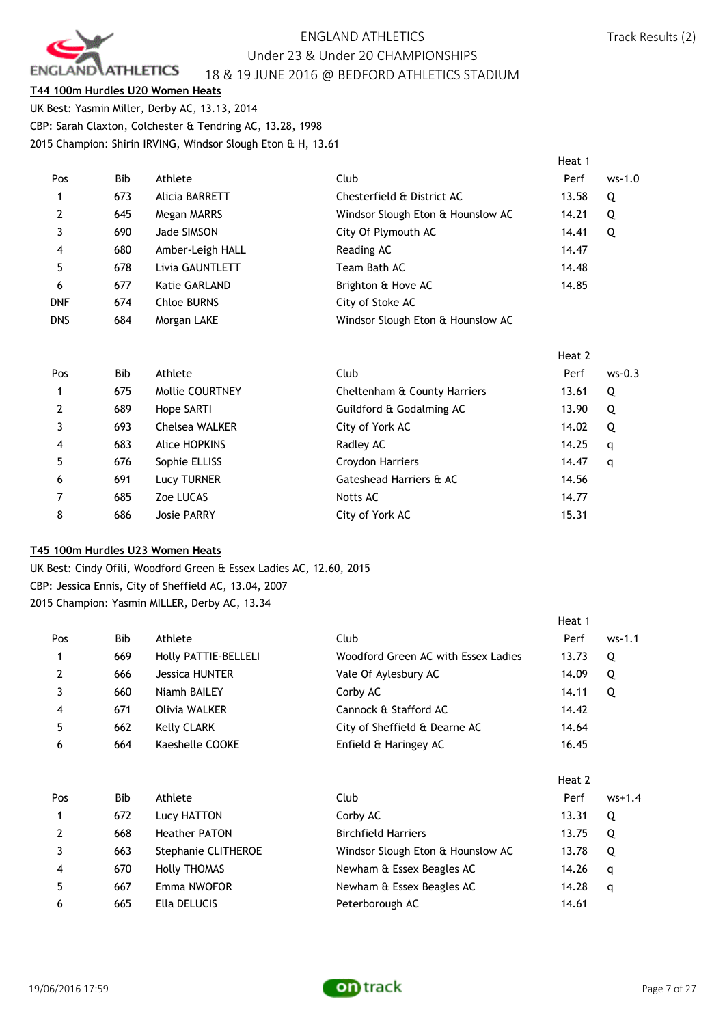

#### **T44 100m Hurdles U20 Women Heats**

UK Best: Yasmin Miller, Derby AC, 13.13, 2014 CBP: Sarah Claxton, Colchester & Tendring AC, 13.28, 1998 2015 Champion: Shirin IRVING, Windsor Slough Eton & H, 13.61

|                |            |                    |                                   | Heat 1 |          |
|----------------|------------|--------------------|-----------------------------------|--------|----------|
| Pos            | <b>Bib</b> | Athlete            | Club                              | Perf   | $ws-1.0$ |
| 1              | 673        | Alicia BARRETT     | Chesterfield & District AC        | 13.58  | Q        |
| $\overline{2}$ | 645        | Megan MARRS        | Windsor Slough Eton & Hounslow AC | 14.21  | Q        |
| 3              | 690        | Jade SIMSON        | City Of Plymouth AC               | 14.41  | Q        |
| $\overline{4}$ | 680        | Amber-Leigh HALL   | Reading AC                        | 14.47  |          |
| 5              | 678        | Livia GAUNTLETT    | Team Bath AC                      | 14.48  |          |
| -6             | 677        | Katie GARLAND      | Brighton & Hove AC                | 14.85  |          |
| DNF            | 674        | <b>Chloe BURNS</b> | City of Stoke AC                  |        |          |
| <b>DNS</b>     | 684        | Morgan LAKE        | Windsor Slough Eton & Hounslow AC |        |          |

|     |     |                        |                              | Heat 2 |          |
|-----|-----|------------------------|------------------------------|--------|----------|
| Pos | Bib | Athlete                | Club                         | Perf   | $ws-0.3$ |
|     | 675 | <b>Mollie COURTNEY</b> | Cheltenham & County Harriers | 13.61  | Q        |
| 2   | 689 | Hope SARTI             | Guildford & Godalming AC     | 13.90  | Q        |
| 3   | 693 | <b>Chelsea WALKER</b>  | City of York AC              | 14.02  | Q        |
| 4   | 683 | Alice HOPKINS          | Radley AC                    | 14.25  | q        |
| 5   | 676 | Sophie ELLISS          | Croydon Harriers             | 14.47  | q        |
| 6   | 691 | Lucy TURNER            | Gateshead Harriers & AC      | 14.56  |          |
| 7   | 685 | Zoe LUCAS              | Notts AC                     | 14.77  |          |
| 8   | 686 | <b>Josie PARRY</b>     | City of York AC              | 15.31  |          |

### **T45 100m Hurdles U23 Women Heats**

UK Best: Cindy Ofili, Woodford Green & Essex Ladies AC, 12.60, 2015 CBP: Jessica Ennis, City of Sheffield AC, 13.04, 2007 2015 Champion: Yasmin MILLER, Derby AC, 13.34

|            |                       |                                     | Heat 1 |          |
|------------|-----------------------|-------------------------------------|--------|----------|
| Bib        | Athlete               | Club                                | Perf   | $ws-1.1$ |
| 669        | Holly PATTIE-BELLELI  | Woodford Green AC with Essex Ladies | 13.73  | Q        |
| 666        | <b>Jessica HUNTER</b> | Vale Of Aylesbury AC                | 14.09  | Q        |
| 660        | Niamh BAILEY          | Corby AC                            | 14.11  | Q        |
| 671        | Olivia WALKER         | Cannock & Stafford AC               | 14.42  |          |
| 662        | Kelly CLARK           | City of Sheffield & Dearne AC       | 14.64  |          |
| 664        | Kaeshelle COOKE       | Enfield & Haringey AC               | 16.45  |          |
|            |                       |                                     | Heat 2 |          |
| <b>Bib</b> | Athlete               | Club                                | Perf   | $ws+1.4$ |
| 672        | Lucy HATTON           | Corby AC                            | 13.31  | Q        |
| 668        | <b>Heather PATON</b>  | <b>Birchfield Harriers</b>          | 13.75  | Q        |
| 663        | Stephanie CLITHEROE   | Windsor Slough Eton & Hounslow AC   | 13.78  | Q        |
| 670        | <b>Holly THOMAS</b>   | Newham & Essex Beagles AC           | 14.26  | q        |
| 667        | Emma NWOFOR           | Newham & Essex Beagles AC           | 14.28  | q        |
| 665        | Ella DELUCIS          | Peterborough AC                     | 14.61  |          |
|            |                       |                                     |        |          |

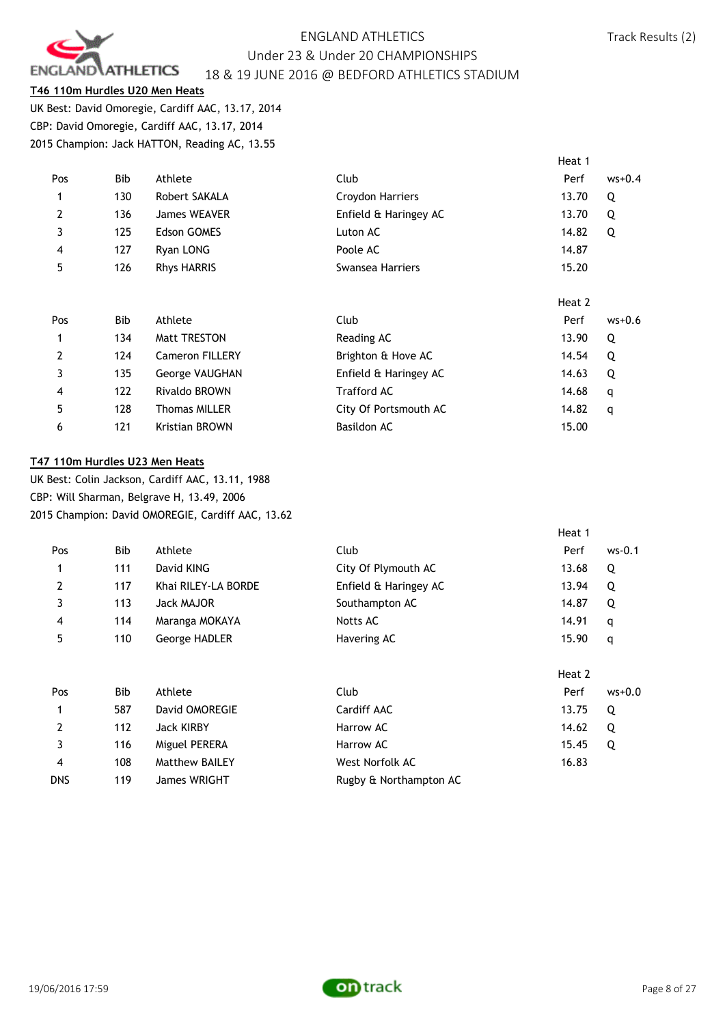

### **T46 110m Hurdles U20 Men Heats**

UK Best: David Omoregie, Cardiff AAC, 13.17, 2014 CBP: David Omoregie, Cardiff AAC, 13.17, 2014 2015 Champion: Jack HATTON, Reading AC, 13.55

| Pos            | Bib        | Athlete                | Club                  | $ws+0.4$<br>Perf |  |
|----------------|------------|------------------------|-----------------------|------------------|--|
|                | 130        | Robert SAKALA          | Croydon Harriers      | 13.70<br>Q       |  |
| 2              | 136        | <b>James WEAVER</b>    | Enfield & Haringey AC | 13.70<br>Q       |  |
| 3              | 125        | <b>Edson GOMES</b>     | Luton AC              | 14.82<br>Q       |  |
| $\overline{4}$ | 127        | Ryan LONG              | Poole AC              | 14.87            |  |
| 5              | 126        | <b>Rhys HARRIS</b>     | Swansea Harriers      | 15.20            |  |
|                |            |                        |                       |                  |  |
|                |            |                        |                       | Heat 2           |  |
| Pos            | <b>Bib</b> | Athlete                | Club                  | $ws+0.6$<br>Perf |  |
|                | 134        | <b>Matt TRESTON</b>    | Reading AC            | Q<br>13.90       |  |
| $\overline{2}$ | 124        | <b>Cameron FILLERY</b> | Brighton & Hove AC    | 14.54<br>Q       |  |
| 3              | 135        | George VAUGHAN         | Enfield & Haringey AC | 14.63<br>Q       |  |
| $\overline{4}$ | 122        | Rivaldo BROWN          | <b>Trafford AC</b>    | 14.68<br>q       |  |
| 5              | 128        | <b>Thomas MILLER</b>   | City Of Portsmouth AC | 14.82<br>q       |  |
| 6              | 121        | <b>Kristian BROWN</b>  | Basildon AC           | 15.00            |  |

#### **T47 110m Hurdles U23 Men Heats**

UK Best: Colin Jackson, Cardiff AAC, 13.11, 1988 CBP: Will Sharman, Belgrave H, 13.49, 2006 2015 Champion: David OMOREGIE, Cardiff AAC, 13.62

|                |     |                       |                        | Heat 1 |          |
|----------------|-----|-----------------------|------------------------|--------|----------|
| Pos            | Bib | Athlete               | Club                   | Perf   | ws-0.1   |
| 1              | 111 | David KING            | City Of Plymouth AC    | 13.68  | Q        |
| $\overline{2}$ | 117 | Khai RILEY-LA BORDE   | Enfield & Haringey AC  | 13.94  | Q        |
| 3              | 113 | Jack MAJOR            | Southampton AC         | 14.87  | Q        |
| 4              | 114 | Maranga MOKAYA        | Notts AC               | 14.91  | q        |
| 5              | 110 | George HADLER         | Havering AC            | 15.90  | q        |
|                |     |                       |                        | Heat 2 |          |
| Pos            | Bib | Athlete               | Club                   | Perf   | $ws+0.0$ |
| 1              | 587 | David OMOREGIE        | Cardiff AAC            | 13.75  | Q        |
| $\overline{2}$ | 112 | Jack KIRBY            | Harrow AC              | 14.62  | Q        |
| 3              | 116 | Miguel PERERA         | Harrow AC              | 15.45  | Q        |
| 4              | 108 | <b>Matthew BAILEY</b> | West Norfolk AC        | 16.83  |          |
| <b>DNS</b>     | 119 | James WRIGHT          | Rugby & Northampton AC |        |          |

Heat 1

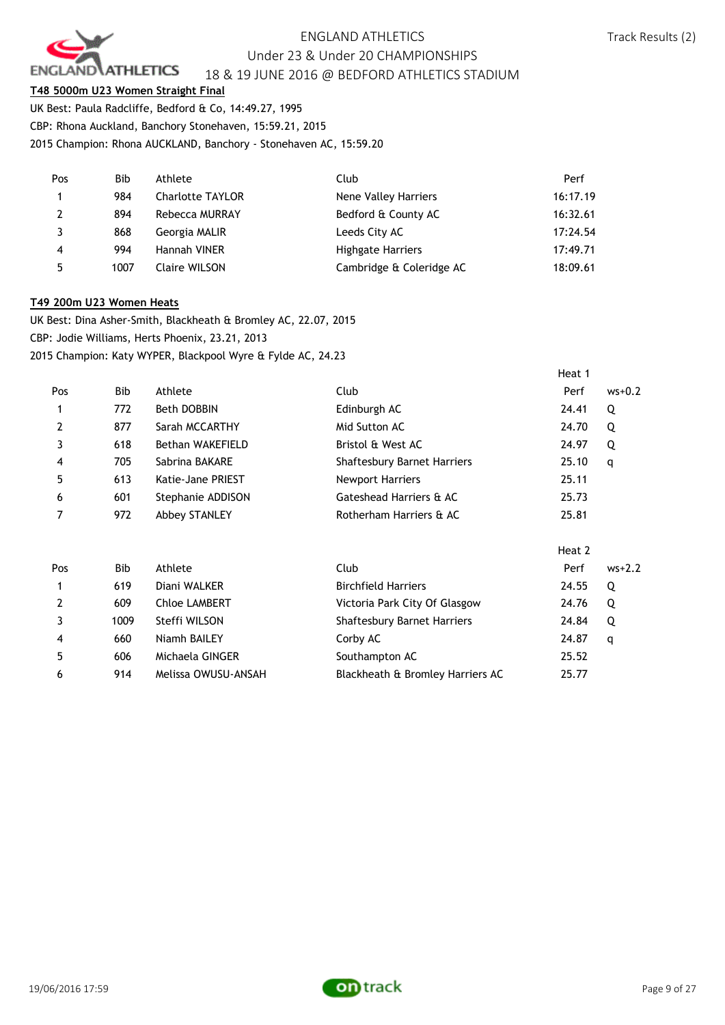

### **T48 5000m U23 Women Straight Final**

UK Best: Paula Radcliffe, Bedford & Co, 14:49.27, 1995

CBP: Rhona Auckland, Banchory Stonehaven, 15:59.21, 2015

2015 Champion: Rhona AUCKLAND, Banchory - Stonehaven AC, 15:59.20

| Pos            | Bib  | Athlete                 | Club                     | Perf     |
|----------------|------|-------------------------|--------------------------|----------|
| $\mathbf{1}$   | 984  | <b>Charlotte TAYLOR</b> | Nene Valley Harriers     | 16:17.19 |
| 2              | 894  | Rebecca MURRAY          | Bedford & County AC      | 16:32.61 |
| 3              | 868  | Georgia MALIR           | Leeds City AC            | 17:24.54 |
| $\overline{4}$ | 994  | Hannah VINER            | <b>Highgate Harriers</b> | 17:49.71 |
| 5              | 1007 | Claire WILSON           | Cambridge & Coleridge AC | 18:09.61 |

#### **T49 200m U23 Women Heats**

UK Best: Dina Asher-Smith, Blackheath & Bromley AC, 22.07, 2015 CBP: Jodie Williams, Herts Phoenix, 23.21, 2013 2015 Champion: Katy WYPER, Blackpool Wyre & Fylde AC, 24.23

|                |      |                      |                                    | Heat 1 |          |
|----------------|------|----------------------|------------------------------------|--------|----------|
| Pos            | Bib  | Athlete              | Club                               | Perf   | $ws+0.2$ |
| 1              | 772  | Beth DOBBIN          | Edinburgh AC                       | 24.41  | Q        |
| 2              | 877  | Sarah MCCARTHY       | Mid Sutton AC                      | 24.70  | Q        |
| 3              | 618  | Bethan WAKEFIELD     | Bristol & West AC                  | 24.97  | Q        |
| 4              | 705  | Sabrina BAKARE       | <b>Shaftesbury Barnet Harriers</b> | 25.10  | q        |
| 5              | 613  | Katie-Jane PRIEST    | <b>Newport Harriers</b>            | 25.11  |          |
| 6              | 601  | Stephanie ADDISON    | Gateshead Harriers & AC            | 25.73  |          |
| 7              | 972  | <b>Abbey STANLEY</b> | Rotherham Harriers & AC            | 25.81  |          |
|                |      |                      |                                    | Heat 2 |          |
| Pos            | Bib  | Athlete              | <b>Club</b>                        | Perf   | $ws+2.2$ |
| 1              | 619  | Diani WALKER         | <b>Birchfield Harriers</b>         | 24.55  | Q        |
| $\overline{2}$ | 609  | <b>Chloe LAMBERT</b> | Victoria Park City Of Glasgow      | 24.76  | Q        |
| 3              | 1009 | Steffi WILSON        | <b>Shaftesbury Barnet Harriers</b> | 24.84  | Q        |
| 4              | 660  | Niamh BAILEY         | Corby AC                           | 24.87  | q        |
| 5              | 606  | Michaela GINGER      | Southampton AC                     | 25.52  |          |
| 6              | 914  | Melissa OWUSU-ANSAH  | Blackheath & Bromley Harriers AC   | 25.77  |          |

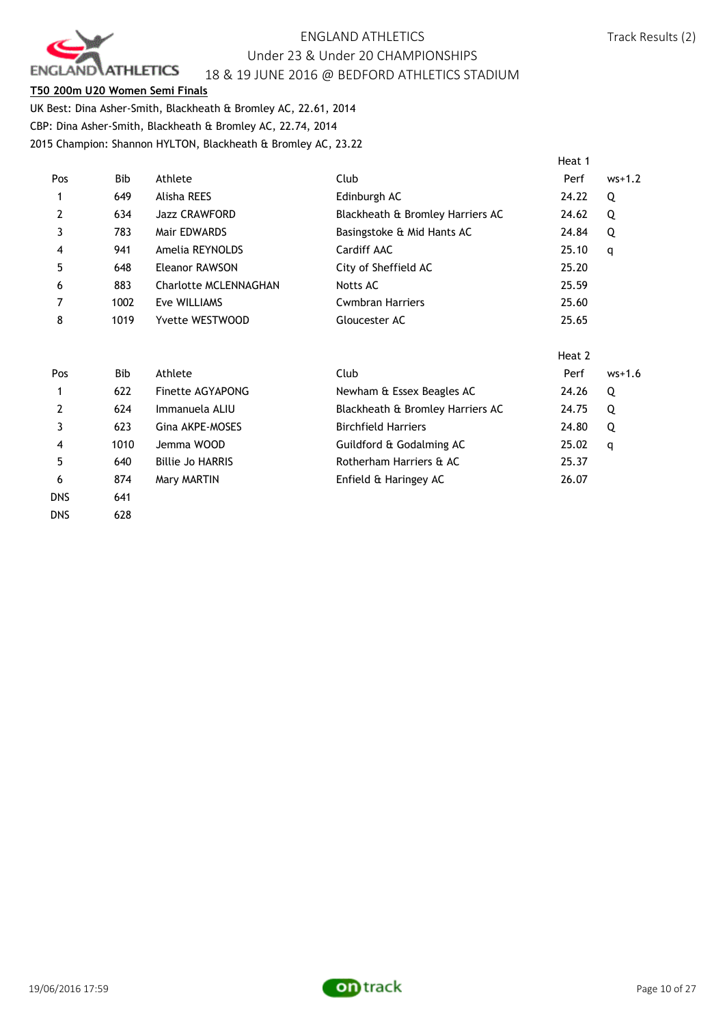

#### **T50 200m U20 Women Semi Finals**

UK Best: Dina Asher-Smith, Blackheath & Bromley AC, 22.61, 2014 CBP: Dina Asher-Smith, Blackheath & Bromley AC, 22.74, 2014 2015 Champion: Shannon HYLTON, Blackheath & Bromley AC, 23.22

|                |      |                       |                                  | Heat 1 |          |
|----------------|------|-----------------------|----------------------------------|--------|----------|
| Pos            | Bib  | Athlete               | Club                             | Perf   | $ws+1.2$ |
|                | 649  | Alisha REES           | Edinburgh AC                     | 24.22  | Q        |
| $\overline{2}$ | 634  | <b>Jazz CRAWFORD</b>  | Blackheath & Bromley Harriers AC | 24.62  | Q        |
| 3              | 783  | Mair EDWARDS          | Basingstoke & Mid Hants AC       | 24.84  | Q        |
| 4              | 941  | Amelia REYNOLDS       | Cardiff AAC                      | 25.10  | q        |
| 5              | 648  | Eleanor RAWSON        | City of Sheffield AC             | 25.20  |          |
| 6              | 883  | Charlotte MCLENNAGHAN | Notts AC                         | 25.59  |          |
|                | 1002 | Eve WILLIAMS          | <b>Cwmbran Harriers</b>          | 25.60  |          |
| 8              | 1019 | Yvette WESTWOOD       | Gloucester AC                    | 25.65  |          |
|                |      |                       |                                  |        |          |

|            |            |                         |                                  | Heat 2 |          |
|------------|------------|-------------------------|----------------------------------|--------|----------|
| Pos        | <b>Bib</b> | Athlete                 | Club                             | Perf   | $ws+1.6$ |
| 1          | 622        | Finette AGYAPONG        | Newham & Essex Beagles AC        | 24.26  | Q        |
| 2          | 624        | Immanuela ALIU          | Blackheath & Bromley Harriers AC | 24.75  | Q        |
|            | 623        | Gina AKPE-MOSES         | <b>Birchfield Harriers</b>       | 24.80  | Q        |
| 4          | 1010       | Jemma WOOD              | Guildford & Godalming AC         | 25.02  | q        |
| 5          | 640        | <b>Billie Jo HARRIS</b> | Rotherham Harriers & AC          | 25.37  |          |
| 6          | 874        | Mary MARTIN             | Enfield & Haringey AC            | 26.07  |          |
| <b>DNS</b> | 641        |                         |                                  |        |          |

DNS 628

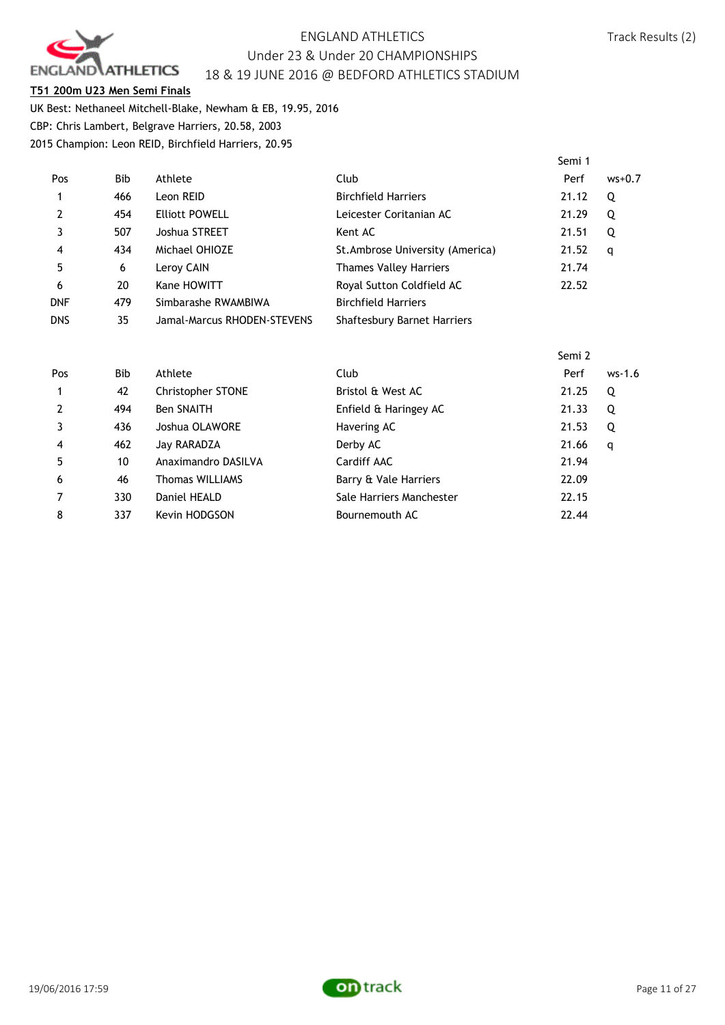

#### **T51 200m U23 Men Semi Finals**

UK Best: Nethaneel Mitchell-Blake, Newham & EB, 19.95, 2016 CBP: Chris Lambert, Belgrave Harriers, 20.58, 2003 2015 Champion: Leon REID, Birchfield Harriers, 20.95

|            |      |                             |                                    | Semi 1 |          |
|------------|------|-----------------------------|------------------------------------|--------|----------|
| Pos        | Bib. | Athlete                     | Club                               | Perf   | $ws+0.7$ |
| 1          | 466  | Leon REID                   | <b>Birchfield Harriers</b>         | 21.12  | Q        |
| 2          | 454  | <b>Elliott POWELL</b>       | Leicester Coritanian AC            | 21.29  | Q        |
| 3          | 507  | Joshua STREET               | Kent AC                            | 21.51  | Q        |
| 4          | 434  | Michael OHIOZE              | St. Ambrose University (America)   | 21.52  | q        |
| 5          | 6    | Leroy CAIN                  | <b>Thames Valley Harriers</b>      | 21.74  |          |
| 6          | 20   | Kane HOWITT                 | Royal Sutton Coldfield AC          | 22.52  |          |
| <b>DNF</b> | 479  | Simbarashe RWAMBIWA         | <b>Birchfield Harriers</b>         |        |          |
| <b>DNS</b> | 35   | Jamal-Marcus RHODEN-STEVENS | <b>Shaftesbury Barnet Harriers</b> |        |          |

|                |     |                        |                          | Semi 2 |          |
|----------------|-----|------------------------|--------------------------|--------|----------|
| Pos            | Bib | Athlete                | Club                     | Perf   | $ws-1.6$ |
| $\mathbf{1}$   | 42  | Christopher STONE      | Bristol & West AC        | 21.25  | Q        |
| $\overline{2}$ | 494 | <b>Ben SNAITH</b>      | Enfield & Haringey AC    | 21.33  | Q        |
| 3              | 436 | Joshua OLAWORE         | Havering AC              | 21.53  | Q        |
| $\overline{4}$ | 462 | Jay RARADZA            | Derby AC                 | 21.66  | q        |
| 5              | 10  | Anaximandro DASILVA    | Cardiff AAC              | 21.94  |          |
| 6              | 46  | <b>Thomas WILLIAMS</b> | Barry & Vale Harriers    | 22.09  |          |
| 7              | 330 | Daniel HEALD           | Sale Harriers Manchester | 22.15  |          |
| 8              | 337 | Kevin HODGSON          | Bournemouth AC           | 22.44  |          |

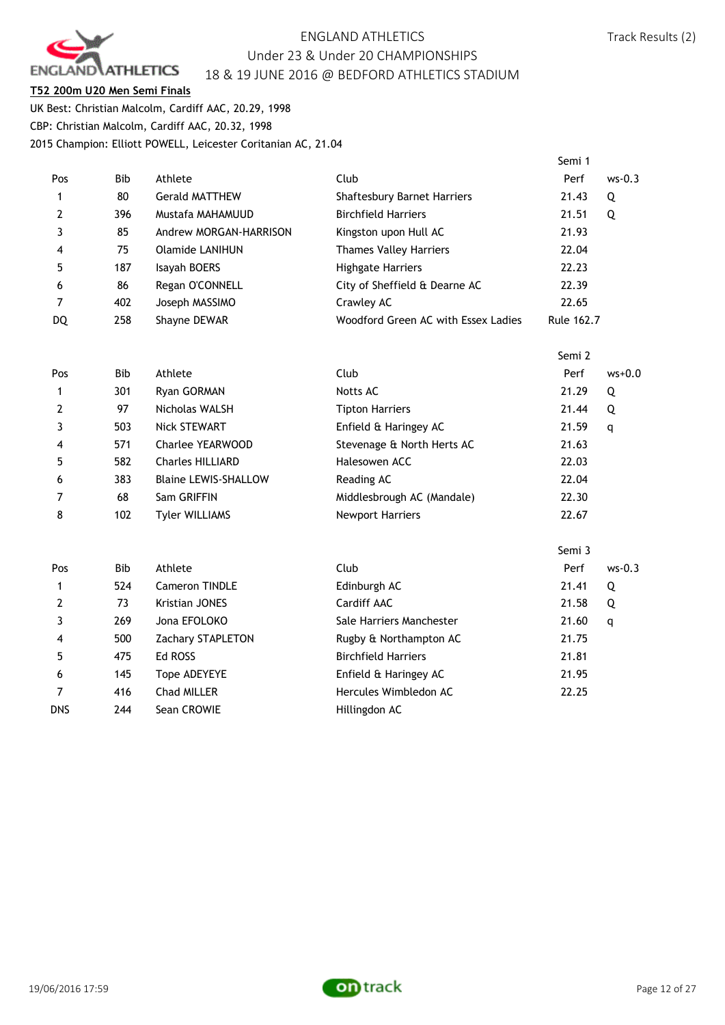

#### **T52 200m U20 Men Semi Finals**

UK Best: Christian Malcolm, Cardiff AAC, 20.29, 1998 CBP: Christian Malcolm, Cardiff AAC, 20.32, 1998 2015 Champion: Elliott POWELL, Leicester Coritanian AC, 21.04

|                |            |                             |                                     | Semi 1     |          |
|----------------|------------|-----------------------------|-------------------------------------|------------|----------|
| Pos            | Bib        | Athlete                     | Club                                | Perf       | $ws-0.3$ |
| 1              | 80         | <b>Gerald MATTHEW</b>       | Shaftesbury Barnet Harriers         | 21.43      | Q        |
| 2              | 396        | Mustafa MAHAMUUD            | <b>Birchfield Harriers</b>          | 21.51      | Q        |
| 3              | 85         | Andrew MORGAN-HARRISON      | Kingston upon Hull AC               | 21.93      |          |
| 4              | 75         | <b>Olamide LANIHUN</b>      | <b>Thames Valley Harriers</b>       | 22.04      |          |
| 5              | 187        | Isayah BOERS                | <b>Highgate Harriers</b>            | 22.23      |          |
| 6              | 86         | Regan O'CONNELL             | City of Sheffield & Dearne AC       | 22.39      |          |
| $\overline{7}$ | 402        | Joseph MASSIMO              | Crawley AC                          | 22.65      |          |
| DQ             | 258        | Shayne DEWAR                | Woodford Green AC with Essex Ladies | Rule 162.7 |          |
|                |            |                             |                                     | Semi 2     |          |
| Pos            | Bib        | Athlete                     | Club                                | Perf       | $ws+0.0$ |
| 1              | 301        | Ryan GORMAN                 | Notts AC                            | 21.29      | Q        |
| $\mathbf{2}$   | 97         | Nicholas WALSH              | <b>Tipton Harriers</b>              | 21.44      | Q        |
| 3              | 503        | Nick STEWART                | Enfield & Haringey AC               | 21.59      | q        |
| 4              | 571        | Charlee YEARWOOD            | Stevenage & North Herts AC          | 21.63      |          |
| 5              | 582        | <b>Charles HILLIARD</b>     | Halesowen ACC                       | 22.03      |          |
| 6              | 383        | <b>Blaine LEWIS-SHALLOW</b> | Reading AC                          | 22.04      |          |
| 7              | 68         | Sam GRIFFIN                 | Middlesbrough AC (Mandale)          | 22.30      |          |
| 8              | 102        | <b>Tyler WILLIAMS</b>       | <b>Newport Harriers</b>             | 22.67      |          |
|                |            |                             |                                     | Semi 3     |          |
| Pos            | <b>Bib</b> | Athlete                     | Club                                | Perf       | $ws-0.3$ |
| 1              | 524        | Cameron TINDLE              | Edinburgh AC                        | 21.41      | Q        |
| 2              | 73         | Kristian JONES              | Cardiff AAC                         | 21.58      | Q        |
| 3              | 269        | Jona EFOLOKO                | Sale Harriers Manchester            | 21.60      | q        |
| 4              | 500        | Zachary STAPLETON           | Rugby & Northampton AC              | 21.75      |          |
| 5              | 475        | Ed ROSS                     | <b>Birchfield Harriers</b>          | 21.81      |          |
| 6              | 145        | Tope ADEYEYE                | Enfield & Haringey AC               | 21.95      |          |
| 7              | 416        | Chad MILLER                 | Hercules Wimbledon AC               | 22.25      |          |
| <b>DNS</b>     | 244        | Sean CROWIE                 | Hillingdon AC                       |            |          |

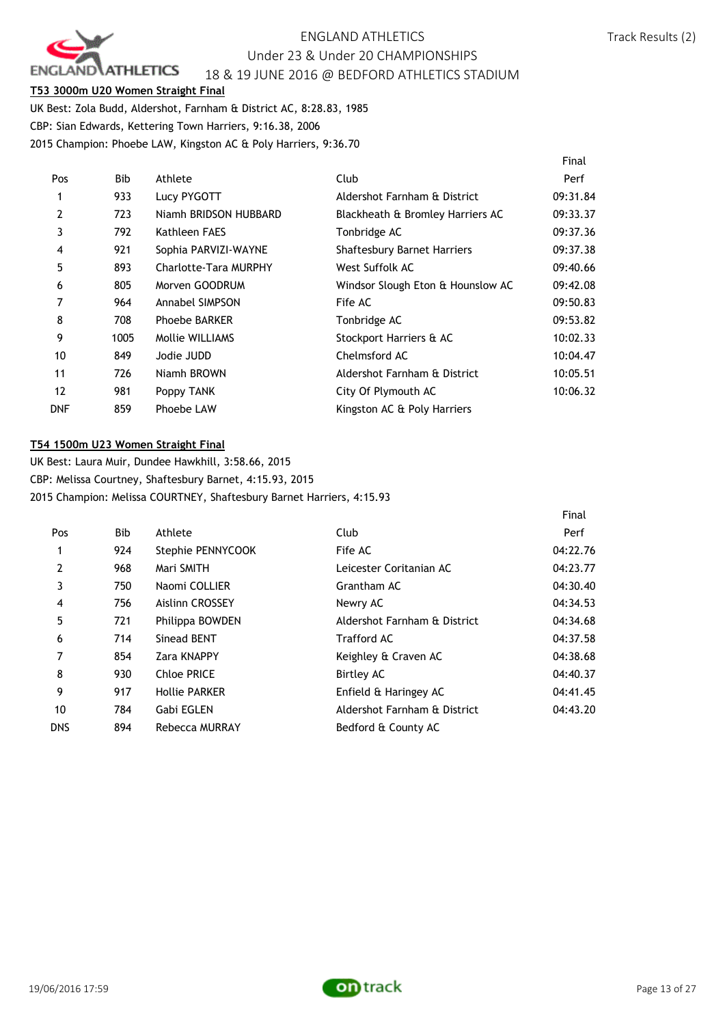

 $\mathbf{r}$ 

#### **T53 3000m U20 Women Straight Final**

UK Best: Zola Budd, Aldershot, Farnham & District AC, 8:28.83, 1985 CBP: Sian Edwards, Kettering Town Harriers, 9:16.38, 2006 2015 Champion: Phoebe LAW, Kingston AC & Poly Harriers, 9:36.70

|            |      |                              |                                   | Final    |
|------------|------|------------------------------|-----------------------------------|----------|
| Pos        | Bib  | Athlete                      | Club                              | Perf     |
| 1          | 933  | Lucy PYGOTT                  | Aldershot Farnham & District      | 09:31.84 |
| 2          | 723  | Niamh BRIDSON HUBBARD        | Blackheath & Bromley Harriers AC  | 09:33.37 |
| 3          | 792  | Kathleen FAES                | Tonbridge AC                      | 09:37.36 |
| 4          | 921  | Sophia PARVIZI-WAYNE         | Shaftesbury Barnet Harriers       | 09:37.38 |
| 5          | 893  | <b>Charlotte-Tara MURPHY</b> | West Suffolk AC                   | 09:40.66 |
| 6          | 805  | Morven GOODRUM               | Windsor Slough Eton & Hounslow AC | 09:42.08 |
| 7          | 964  | Annabel SIMPSON              | Fife AC                           | 09:50.83 |
| 8          | 708  | <b>Phoebe BARKER</b>         | Tonbridge AC                      | 09:53.82 |
| 9          | 1005 | Mollie WILLIAMS              | Stockport Harriers & AC           | 10:02.33 |
| 10         | 849  | Jodie JUDD                   | Chelmsford AC                     | 10:04.47 |
| 11         | 726  | Niamh BROWN                  | Aldershot Farnham & District      | 10:05.51 |
| 12         | 981  | Poppy TANK                   | City Of Plymouth AC               | 10:06.32 |
| <b>DNF</b> | 859  | Phoebe LAW                   | Kingston AC & Poly Harriers       |          |

#### **T54 1500m U23 Women Straight Final**

UK Best: Laura Muir, Dundee Hawkhill, 3:58.66, 2015 CBP: Melissa Courtney, Shaftesbury Barnet, 4:15.93, 2015 2015 Champion: Melissa COURTNEY, Shaftesbury Barnet Harriers, 4:15.93

|                |            |                        |                              | Finat    |
|----------------|------------|------------------------|------------------------------|----------|
| Pos            | <b>Bib</b> | Athlete                | Club                         | Perf     |
| 1              | 924        | Stephie PENNYCOOK      | Fife AC                      | 04:22.76 |
| $\overline{2}$ | 968        | Mari SMITH             | Leicester Coritanian AC      | 04:23.77 |
| 3              | 750        | Naomi COLLIER          | Grantham AC                  | 04:30.40 |
| $\overline{4}$ | 756        | <b>Aislinn CROSSEY</b> | Newry AC                     | 04:34.53 |
| 5              | 721        | Philippa BOWDEN        | Aldershot Farnham & District | 04:34.68 |
| 6              | 714        | Sinead BENT            | <b>Trafford AC</b>           | 04:37.58 |
| 7              | 854        | Zara KNAPPY            | Keighley & Craven AC         | 04:38.68 |
| 8              | 930        | Chloe PRICE            | <b>Birtley AC</b>            | 04:40.37 |
| 9              | 917        | <b>Hollie PARKER</b>   | Enfield & Haringey AC        | 04:41.45 |
| 10             | 784        | Gabi EGLEN             | Aldershot Farnham & District | 04:43.20 |
| dns            | 894        | Rebecca MURRAY         | Bedford & County AC          |          |
|                |            |                        |                              |          |

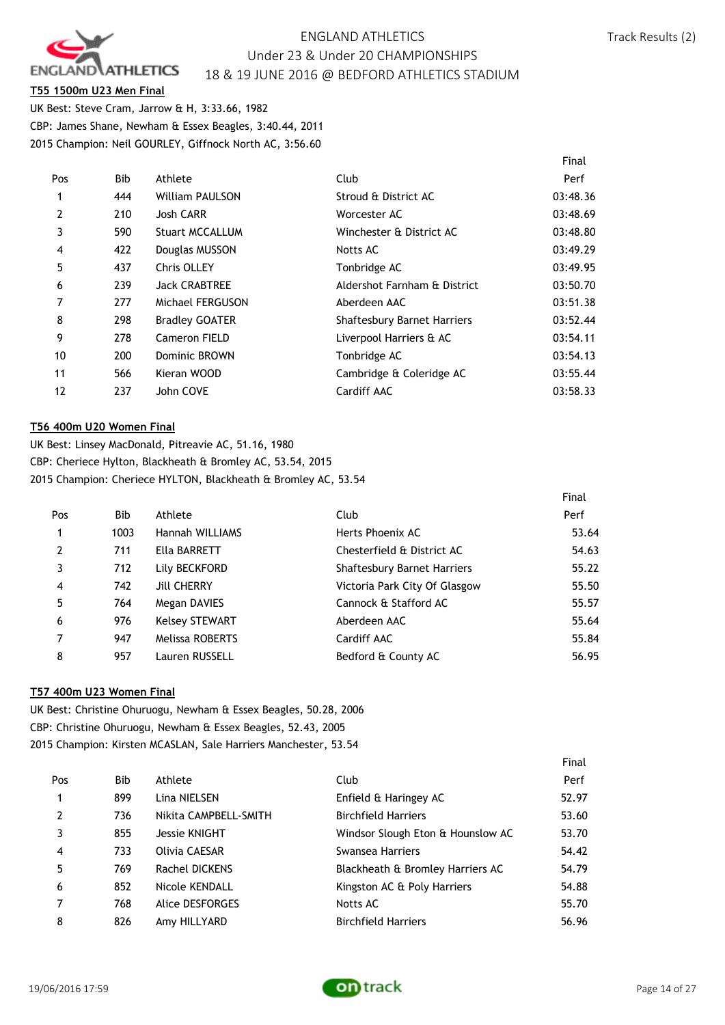

#### **T55 1500m U23 Men Final**

UK Best: Steve Cram, Jarrow & H, 3:33.66, 1982 CBP: James Shane, Newham & Essex Beagles, 3:40.44, 2011 2015 Champion: Neil GOURLEY, Giffnock North AC, 3:56.60

|            |                        |                                    | Final    |
|------------|------------------------|------------------------------------|----------|
| <b>Bib</b> | Athlete                | Club                               | Perf     |
| 444        | <b>William PAULSON</b> | Stroud & District AC               | 03:48.36 |
| 210        | <b>Josh CARR</b>       | Worcester AC                       | 03:48.69 |
| 590        | <b>Stuart MCCALLUM</b> | Winchester & District AC           | 03:48.80 |
| 422        | Douglas MUSSON         | Notts AC                           | 03:49.29 |
| 437        | Chris OLLEY            | Tonbridge AC                       | 03:49.95 |
| 239        | <b>Jack CRABTREE</b>   | Aldershot Farnham & District       | 03:50.70 |
| 277        | Michael FERGUSON       | Aberdeen AAC                       | 03:51.38 |
| 298        | <b>Bradley GOATER</b>  | <b>Shaftesbury Barnet Harriers</b> | 03:52.44 |
| 278        | Cameron FIELD          | Liverpool Harriers & AC            | 03:54.11 |
| 200        | Dominic BROWN          | Tonbridge AC                       | 03:54.13 |
| 566        | Kieran WOOD            | Cambridge & Coleridge AC           | 03:55.44 |
| 237        | John COVE              | Cardiff AAC                        | 03:58.33 |
|            |                        |                                    |          |

#### **T56 400m U20 Women Final**

UK Best: Linsey MacDonald, Pitreavie AC, 51.16, 1980 CBP: Cheriece Hylton, Blackheath & Bromley AC, 53.54, 2015 2015 Champion: Cheriece HYLTON, Blackheath & Bromley AC, 53.54

|                |      |                        |                                    | Final |
|----------------|------|------------------------|------------------------------------|-------|
| Pos            | Bib  | Athlete                | Club                               | Perf  |
|                | 1003 | Hannah WILLIAMS        | Herts Phoenix AC                   | 53.64 |
| $\overline{2}$ | 711  | Ella BARRETT           | Chesterfield & District AC         | 54.63 |
| 3              | 712  | Lily BECKFORD          | <b>Shaftesbury Barnet Harriers</b> | 55.22 |
| 4              | 742  | <b>Jill CHERRY</b>     | Victoria Park City Of Glasgow      | 55.50 |
| 5              | 764  | Megan DAVIES           | Cannock & Stafford AC              | 55.57 |
| 6              | 976  | <b>Kelsey STEWART</b>  | Aberdeen AAC                       | 55.64 |
| 7              | 947  | <b>Melissa ROBERTS</b> | Cardiff AAC                        | 55.84 |
| 8              | 957  | <b>Lauren RUSSELL</b>  | Bedford & County AC                | 56.95 |

#### **T57 400m U23 Women Final**

UK Best: Christine Ohuruogu, Newham & Essex Beagles, 50.28, 2006 CBP: Christine Ohuruogu, Newham & Essex Beagles, 52.43, 2005 2015 Champion: Kirsten MCASLAN, Sale Harriers Manchester, 53.54

| Pos            | Bib | Athlete                | Club                              | Perf  |
|----------------|-----|------------------------|-----------------------------------|-------|
| 1              | 899 | Lina NIELSEN           | Enfield & Haringey AC             | 52.97 |
| $\overline{2}$ | 736 | Nikita CAMPBELL-SMITH  | <b>Birchfield Harriers</b>        | 53.60 |
| 3              | 855 | Jessie KNIGHT          | Windsor Slough Eton & Hounslow AC | 53.70 |
| 4              | 733 | Olivia CAESAR          | Swansea Harriers                  | 54.42 |
| 5              | 769 | Rachel DICKENS         | Blackheath & Bromley Harriers AC  | 54.79 |
| 6              | 852 | Nicole KENDALL         | Kingston AC & Poly Harriers       | 54.88 |
| 7              | 768 | <b>Alice DESFORGES</b> | Notts AC                          | 55.70 |
| 8              | 826 | Amy HILLYARD           | <b>Birchfield Harriers</b>        | 56.96 |



Final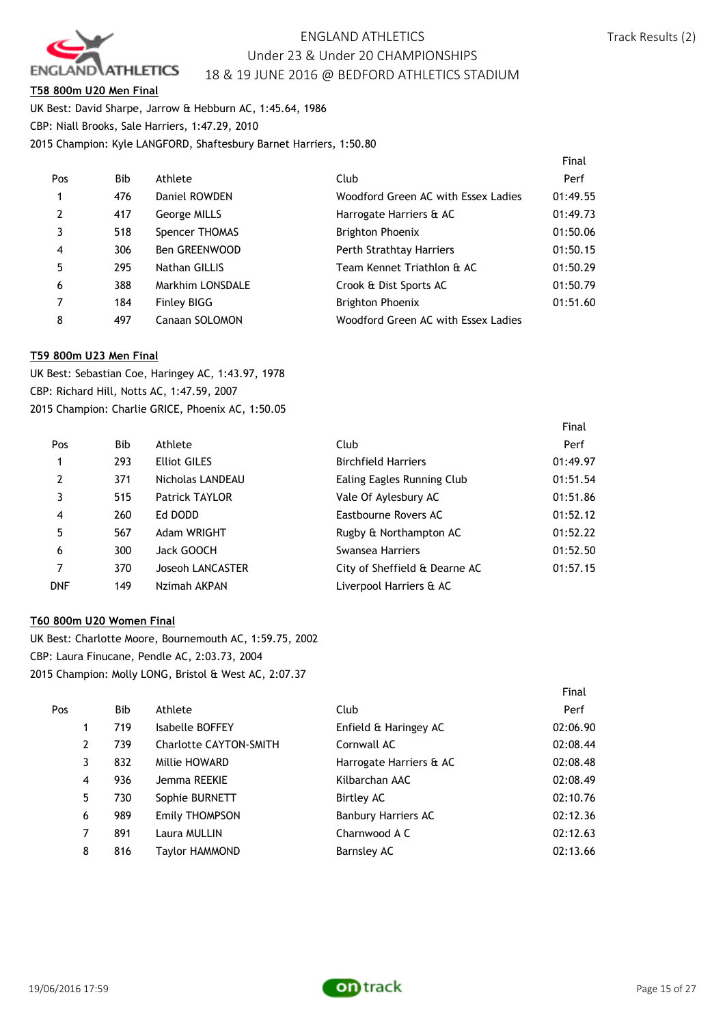

Final

Final

#### **T58 800m U20 Men Final**

UK Best: David Sharpe, Jarrow & Hebburn AC, 1:45.64, 1986 CBP: Niall Brooks, Sale Harriers, 1:47.29, 2010 2015 Champion: Kyle LANGFORD, Shaftesbury Barnet Harriers, 1:50.80

|            |                  |                                     | Final    |
|------------|------------------|-------------------------------------|----------|
| <b>Bib</b> | Athlete          | Club                                | Perf     |
| 476        | Daniel ROWDEN    | Woodford Green AC with Essex Ladies | 01:49.55 |
| 417        | George MILLS     | Harrogate Harriers & AC             | 01:49.73 |
| 518        | Spencer THOMAS   | <b>Brighton Phoenix</b>             | 01:50.06 |
| 306        | Ben GREENWOOD    | Perth Strathtay Harriers            | 01:50.15 |
| 295        | Nathan GILLIS    | Team Kennet Triathlon & AC          | 01:50.29 |
| 388        | Markhim LONSDALE | Crook & Dist Sports AC              | 01:50.79 |
| 184        | Finley BIGG      | Brighton Phoenix                    | 01:51.60 |
| 497        | Canaan SOLOMON   | Woodford Green AC with Essex Ladies |          |
|            |                  |                                     |          |

#### **T59 800m U23 Men Final**

UK Best: Sebastian Coe, Haringey AC, 1:43.97, 1978 CBP: Richard Hill, Notts AC, 1:47.59, 2007 2015 Champion: Charlie GRICE, Phoenix AC, 1:50.05

| Pos        | <b>Bib</b> | Athlete             | Club                          | Perf     |
|------------|------------|---------------------|-------------------------------|----------|
| 1          | 293        | <b>Elliot GILES</b> | <b>Birchfield Harriers</b>    | 01:49.97 |
| 2          | 371        | Nicholas LANDEAU    | Ealing Eagles Running Club    | 01:51.54 |
| 3          | 515        | Patrick TAYLOR      | Vale Of Aylesbury AC          | 01:51.86 |
| 4          | 260        | Ed DODD             | Eastbourne Rovers AC          | 01:52.12 |
| 5          | 567        | Adam WRIGHT         | Rugby & Northampton AC        | 01:52.22 |
| 6          | 300        | Jack GOOCH          | Swansea Harriers              | 01:52.50 |
| 7          | 370        | Joseoh LANCASTER    | City of Sheffield & Dearne AC | 01:57.15 |
| <b>DNF</b> | 149        | Nzimah AKPAN        | Liverpool Harriers & AC       |          |

### **T60 800m U20 Women Final**

UK Best: Charlotte Moore, Bournemouth AC, 1:59.75, 2002 CBP: Laura Finucane, Pendle AC, 2:03.73, 2004 2015 Champion: Molly LONG, Bristol & West AC, 2:07.37

| Pos | Bib | Athlete                       | Club                       | Perf     |
|-----|-----|-------------------------------|----------------------------|----------|
| 1   | 719 | Isabelle BOFFEY               | Enfield & Haringey AC      | 02:06.90 |
| 2   | 739 | <b>Charlotte CAYTON-SMITH</b> | Cornwall AC                | 02:08.44 |
| 3   | 832 | Millie HOWARD                 | Harrogate Harriers & AC    | 02:08.48 |
| 4   | 936 | Jemma REEKIE                  | Kilbarchan AAC             | 02:08.49 |
| 5   | 730 | Sophie BURNETT                | Birtley AC                 | 02:10.76 |
| 6   | 989 | <b>Emily THOMPSON</b>         | <b>Banbury Harriers AC</b> | 02:12.36 |
| 7   | 891 | Laura MULLIN                  | Charnwood A C              | 02:12.63 |
| 8   | 816 | Taylor HAMMOND                | Barnsley AC                | 02:13.66 |
|     |     |                               |                            |          |



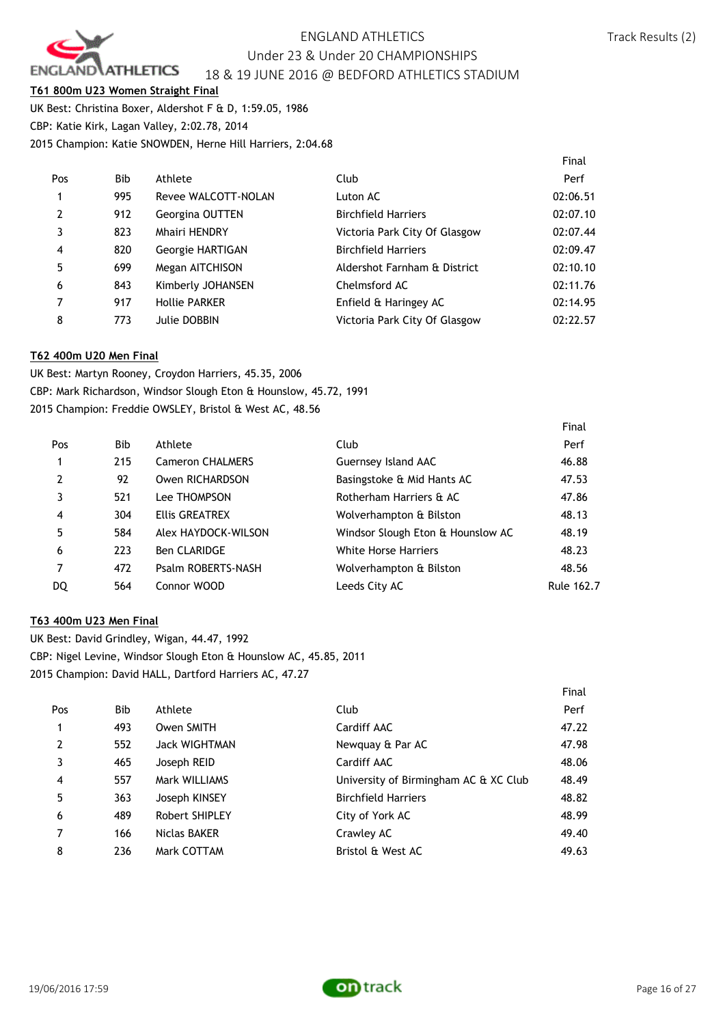

Final

#### **T61 800m U23 Women Straight Final**

UK Best: Christina Boxer, Aldershot F & D, 1:59.05, 1986 CBP: Katie Kirk, Lagan Valley, 2:02.78, 2014 2015 Champion: Katie SNOWDEN, Herne Hill Harriers, 2:04.68

|                |            |                      |                               | Final    |
|----------------|------------|----------------------|-------------------------------|----------|
| Pos            | <b>Bib</b> | Athlete              | Club                          | Perf     |
| $\mathbf{1}$   | 995        | Revee WALCOTT-NOLAN  | Luton AC                      | 02:06.51 |
| $\overline{2}$ | 912        | Georgina OUTTEN      | <b>Birchfield Harriers</b>    | 02:07.10 |
| 3              | 823        | <b>Mhairi HENDRY</b> | Victoria Park City Of Glasgow | 02:07.44 |
| $\overline{4}$ | 820        | Georgie HARTIGAN     | <b>Birchfield Harriers</b>    | 02:09.47 |
| .5             | 699        | Megan AITCHISON      | Aldershot Farnham & District  | 02:10.10 |
| 6              | 843        | Kimberly JOHANSEN    | Chelmsford AC                 | 02:11.76 |
| $\overline{7}$ | 917        | <b>Hollie PARKER</b> | Enfield & Haringey AC         | 02:14.95 |
| 8              | 773        | Julie DOBBIN         | Victoria Park City Of Glasgow | 02:22.57 |

#### **T62 400m U20 Men Final**

UK Best: Martyn Rooney, Croydon Harriers, 45.35, 2006 CBP: Mark Richardson, Windsor Slough Eton & Hounslow, 45.72, 1991 2015 Champion: Freddie OWSLEY, Bristol & West AC, 48.56

| Pos            | Bib | Athlete                 | Club                              | Perf       |
|----------------|-----|-------------------------|-----------------------------------|------------|
|                | 215 | <b>Cameron CHALMERS</b> | Guernsey Island AAC               | 46.88      |
| $\overline{2}$ | 92  | Owen RICHARDSON         | Basingstoke & Mid Hants AC        | 47.53      |
| 3              | 521 | Lee THOMPSON            | Rotherham Harriers & AC           | 47.86      |
| 4              | 304 | Ellis GREATREX          | Wolverhampton & Bilston           | 48.13      |
| 5              | 584 | Alex HAYDOCK-WILSON     | Windsor Slough Eton & Hounslow AC | 48.19      |
| 6              | 223 | <b>Ben CLARIDGE</b>     | White Horse Harriers              | 48.23      |
| 7              | 472 | Psalm ROBERTS-NASH      | Wolverhampton & Bilston           | 48.56      |
| DQ             | 564 | Connor WOOD             | Leeds City AC                     | Rule 162.7 |
|                |     |                         |                                   |            |

### **T63 400m U23 Men Final**

UK Best: David Grindley, Wigan, 44.47, 1992 CBP: Nigel Levine, Windsor Slough Eton & Hounslow AC, 45.85, 2011 2015 Champion: David HALL, Dartford Harriers AC, 47.27

|                |            |                |                                       | Final |
|----------------|------------|----------------|---------------------------------------|-------|
| Pos            | <b>Bib</b> | Athlete        | Club                                  | Perf  |
| $\mathbf{1}$   | 493        | Owen SMITH     | Cardiff AAC                           | 47.22 |
| $\overline{2}$ | 552        | Jack WIGHTMAN  | Newquay & Par AC                      | 47.98 |
| 3              | 465        | Joseph REID    | Cardiff AAC                           | 48.06 |
| $\overline{4}$ | 557        | Mark WILLIAMS  | University of Birmingham AC & XC Club | 48.49 |
| 5              | 363        | Joseph KINSEY  | <b>Birchfield Harriers</b>            | 48.82 |
| 6              | 489        | Robert SHIPLEY | City of York AC                       | 48.99 |
| $\overline{7}$ | 166        | Niclas BAKER   | Crawley AC                            | 49.40 |
| 8              | 236        | Mark COTTAM    | Bristol & West AC                     | 49.63 |

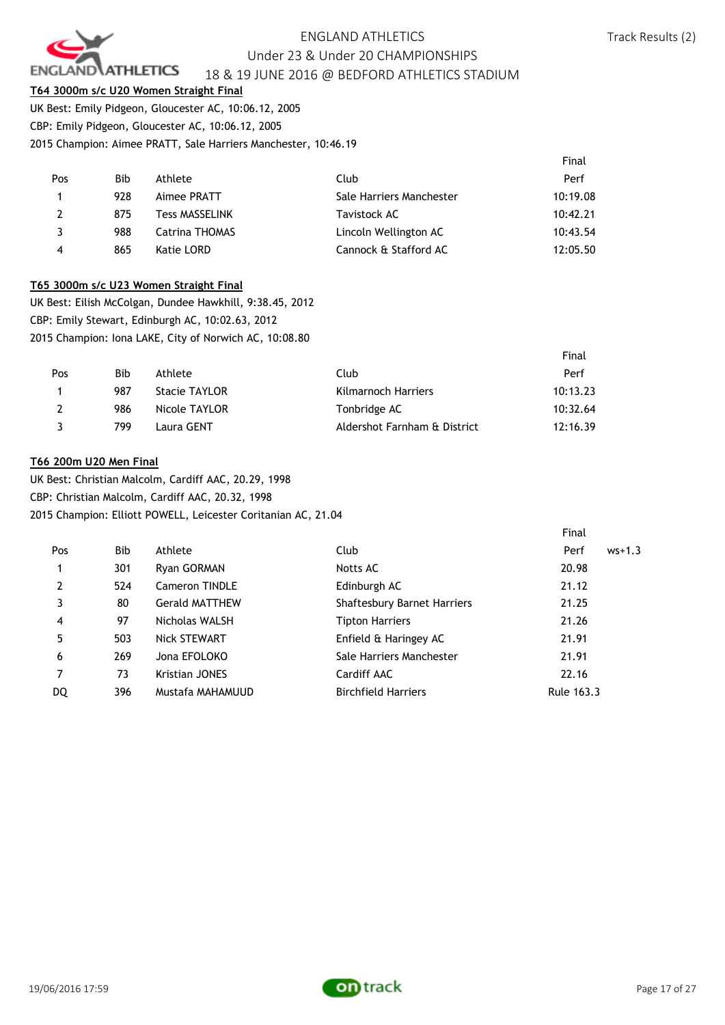

#### **T64 3000m s/c U20 Women Straight Final**

UK Best: Emily Pidgeon, Gloucester AC, 10:06.12, 2005 CBP: Emily Pidgeon, Gloucester AC, 10:06.12, 2005 2015 Champion: Aimee PRATT, Sale Harriers Manchester, 10:46.19

|                         |            |                       |                          | Final    |
|-------------------------|------------|-----------------------|--------------------------|----------|
| Pos                     | <b>Bib</b> | Athlete               | Club                     | Perf     |
| $\mathbf{1}$            | 928        | Aimee PRATT           | Sale Harriers Manchester | 10:19.08 |
| 2                       | 875        | <b>Tess MASSELINK</b> | Tavistock AC             | 10:42.21 |
| 3                       | 988        | Catrina THOMAS        | Lincoln Wellington AC    | 10:43.54 |
| $\overline{\mathbf{4}}$ | 865        | Katie LORD            | Cannock & Stafford AC    | 12:05.50 |

#### **T65 3000m s/c U23 Women Straight Final**

UK Best: Eilish McColgan, Dundee Hawkhill, 9:38.45, 2012 CBP: Emily Stewart, Edinburgh AC, 10:02.63, 2012 2015 Champion: Iona LAKE, City of Norwich AC, 10:08.80

|     |     |                      |                              | Final    |
|-----|-----|----------------------|------------------------------|----------|
| Pos | Bib | Athlete              | Club                         | Perf     |
|     | 987 | <b>Stacie TAYLOR</b> | <b>Kilmarnoch Harriers</b>   | 10:13.23 |
|     | 986 | Nicole TAYLOR        | Tonbridge AC                 | 10:32.64 |
|     | 799 | Laura GENT           | Aldershot Farnham & District | 12:16.39 |

#### **T66 200m U20 Men Final**

UK Best: Christian Malcolm, Cardiff AAC, 20.29, 1998 CBP: Christian Malcolm, Cardiff AAC, 20.32, 1998 2015 Champion: Elliott POWELL, Leicester Coritanian AC, 21.04

|                |     |                       |                             | Final            |
|----------------|-----|-----------------------|-----------------------------|------------------|
| Pos            | Bib | Athlete               | Club                        | Perf<br>$ws+1.3$ |
|                | 301 | Ryan GORMAN           | Notts AC                    | 20.98            |
| $\overline{2}$ | 524 | Cameron TINDLE        | Edinburgh AC                | 21.12            |
| 3              | 80  | <b>Gerald MATTHEW</b> | Shaftesbury Barnet Harriers | 21.25            |
| 4              | 97  | Nicholas WALSH        | <b>Tipton Harriers</b>      | 21.26            |
| 5              | 503 | Nick STEWART          | Enfield & Haringey AC       | 21.91            |
| 6              | 269 | Jona EFOLOKO          | Sale Harriers Manchester    | 21.91            |
| 7              | 73  | Kristian JONES        | Cardiff AAC                 | 22.16            |
| DQ             | 396 | Mustafa MAHAMUUD      | <b>Birchfield Harriers</b>  | Rule 163.3       |

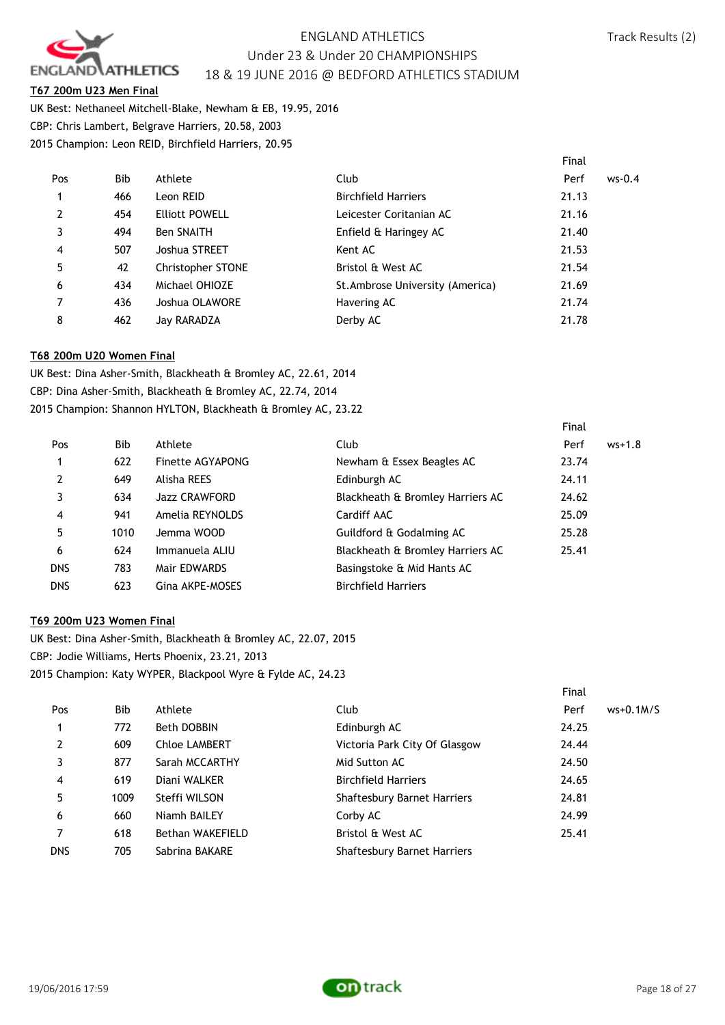

Final

Final

#### **T67 200m U23 Men Final**

UK Best: Nethaneel Mitchell-Blake, Newham & EB, 19.95, 2016 CBP: Chris Lambert, Belgrave Harriers, 20.58, 2003 2015 Champion: Leon REID, Birchfield Harriers, 20.95

|                |            |                          |                                  | Final |          |
|----------------|------------|--------------------------|----------------------------------|-------|----------|
| Pos            | <b>Bib</b> | Athlete                  | Club                             | Perf  | $ws-0.4$ |
| 1              | 466        | Leon REID                | <b>Birchfield Harriers</b>       | 21.13 |          |
| $\overline{2}$ | 454        | <b>Elliott POWELL</b>    | Leicester Coritanian AC          | 21.16 |          |
|                | 494        | <b>Ben SNAITH</b>        | Enfield & Haringey AC            | 21.40 |          |
| 4              | 507        | Joshua STREET            | Kent AC                          | 21.53 |          |
| 5              | 42         | <b>Christopher STONE</b> | Bristol & West AC                | 21.54 |          |
| 6              | 434        | Michael OHIOZE           | St. Ambrose University (America) | 21.69 |          |
|                | 436        | Joshua OLAWORE           | Havering AC                      | 21.74 |          |
| 8              | 462        | Jay RARADZA              | Derby AC                         | 21.78 |          |

#### **T68 200m U20 Women Final**

UK Best: Dina Asher-Smith, Blackheath & Bromley AC, 22.61, 2014 CBP: Dina Asher-Smith, Blackheath & Bromley AC, 22.74, 2014 2015 Champion: Shannon HYLTON, Blackheath & Bromley AC, 23.22

| Pos            | <b>Bib</b> | Athlete              | Club                             | Perf  | $ws+1.8$ |
|----------------|------------|----------------------|----------------------------------|-------|----------|
|                | 622        | Finette AGYAPONG     | Newham & Essex Beagles AC        | 23.74 |          |
| $\overline{2}$ | 649        | Alisha REES          | Edinburgh AC                     | 24.11 |          |
| 3              | 634        | <b>Jazz CRAWFORD</b> | Blackheath & Bromley Harriers AC | 24.62 |          |
| $\overline{4}$ | 941        | Amelia REYNOLDS      | <b>Cardiff AAC</b>               | 25.09 |          |
| 5              | 1010       | Jemma WOOD           | Guildford & Godalming AC         | 25.28 |          |
| 6              | 624        | Immanuela ALIU       | Blackheath & Bromley Harriers AC | 25.41 |          |
| <b>DNS</b>     | 783        | Mair EDWARDS         | Basingstoke & Mid Hants AC       |       |          |
| <b>DNS</b>     | 623        | Gina AKPE-MOSES      | <b>Birchfield Harriers</b>       |       |          |

#### **T69 200m U23 Women Final**

UK Best: Dina Asher-Smith, Blackheath & Bromley AC, 22.07, 2015 CBP: Jodie Williams, Herts Phoenix, 23.21, 2013 2015 Champion: Katy WYPER, Blackpool Wyre & Fylde AC, 24.23

|                |      |                      |                                    | <b>Filidl</b>       |  |
|----------------|------|----------------------|------------------------------------|---------------------|--|
| Pos            | Bib  | Athlete              | Club                               | Perf<br>$ws+0.1M/S$ |  |
| 1              | 772  | Beth DOBBIN          | Edinburgh AC                       | 24.25               |  |
| 2              | 609  | <b>Chloe LAMBERT</b> | Victoria Park City Of Glasgow      | 24.44               |  |
| 3              | 877  | Sarah MCCARTHY       | Mid Sutton AC                      | 24.50               |  |
| $\overline{4}$ | 619  | Diani WALKER         | <b>Birchfield Harriers</b>         | 24.65               |  |
| 5              | 1009 | Steffi WILSON        | Shaftesbury Barnet Harriers        | 24.81               |  |
| 6              | 660  | Niamh BAILEY         | Corby AC                           | 24.99               |  |
|                | 618  | Bethan WAKEFIELD     | Bristol & West AC                  | 25.41               |  |
| <b>DNS</b>     | 705  | Sabrina BAKARE       | <b>Shaftesbury Barnet Harriers</b> |                     |  |
|                |      |                      |                                    |                     |  |

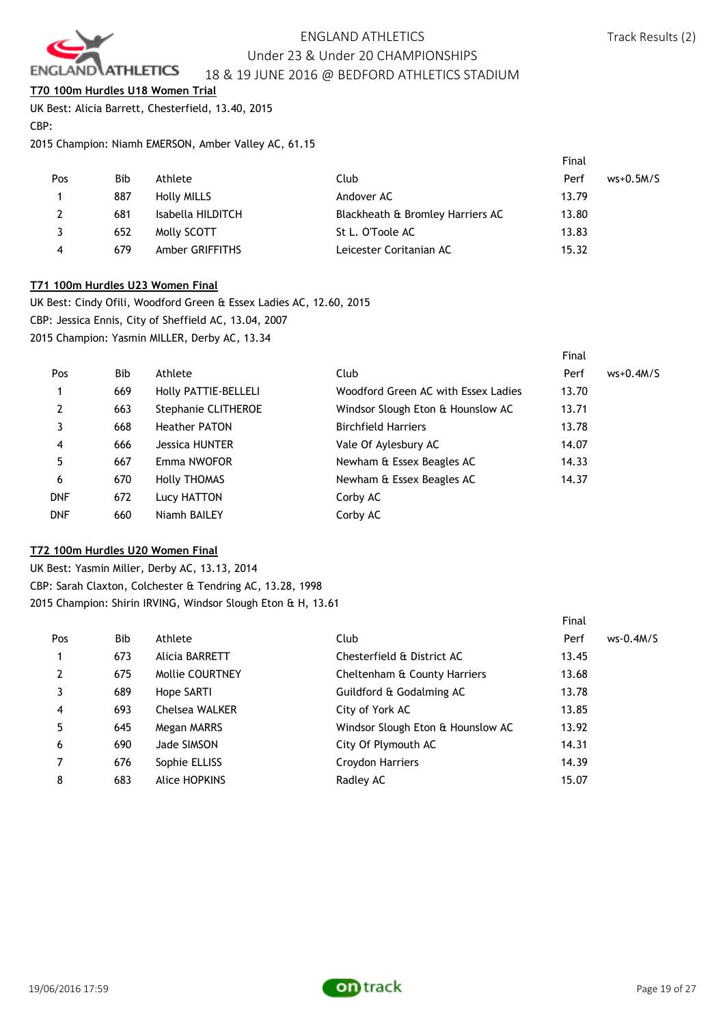

**T70 100m Hurdles U18 Women Trial**

UK Best: Alicia Barrett, Chesterfield, 13.40, 2015 CBP:

2015 Champion: Niamh EMERSON, Amber Valley AC, 61.15

|     |            |                    |                                  | Final |             |
|-----|------------|--------------------|----------------------------------|-------|-------------|
| Pos | <b>Bib</b> | Athlete            | Club                             | Perf  | $ws+0.5M/S$ |
|     | 887        | <b>Holly MILLS</b> | Andover AC                       | 13.79 |             |
|     | 681        | Isabella HILDITCH  | Blackheath & Bromley Harriers AC | 13.80 |             |
|     | 652        | Molly SCOTT        | St L. O'Toole AC                 | 13.83 |             |
| 4   | 679        | Amber GRIFFITHS    | Leicester Coritanian AC          | 15.32 |             |

### **T71 100m Hurdles U23 Women Final**

UK Best: Cindy Ofili, Woodford Green & Essex Ladies AC, 12.60, 2015 CBP: Jessica Ennis, City of Sheffield AC, 13.04, 2007 2015 Champion: Yasmin MILLER, Derby AC, 13.34

|            |     |                       |                                     | ι πιαι |             |
|------------|-----|-----------------------|-------------------------------------|--------|-------------|
| Pos        | Bib | Athlete               | Club                                | Perf   | $ws+0.4M/S$ |
|            | 669 | Holly PATTIE-BELLELI  | Woodford Green AC with Essex Ladies | 13.70  |             |
| 2          | 663 | Stephanie CLITHEROE   | Windsor Slough Eton & Hounslow AC   | 13.71  |             |
| 3          | 668 | <b>Heather PATON</b>  | <b>Birchfield Harriers</b>          | 13.78  |             |
| 4          | 666 | <b>Jessica HUNTER</b> | Vale Of Aylesbury AC                | 14.07  |             |
| 5          | 667 | Emma NWOFOR           | Newham & Essex Beagles AC           | 14.33  |             |
| 6          | 670 | <b>Holly THOMAS</b>   | Newham & Essex Beagles AC           | 14.37  |             |
| <b>DNF</b> | 672 | Lucy HATTON           | Corby AC                            |        |             |
| <b>DNF</b> | 660 | Niamh BAILEY          | Corby AC                            |        |             |
|            |     |                       |                                     |        |             |

### **T72 100m Hurdles U20 Women Final**

UK Best: Yasmin Miller, Derby AC, 13.13, 2014 CBP: Sarah Claxton, Colchester & Tendring AC, 13.28, 1998 2015 Champion: Shirin IRVING, Windsor Slough Eton & H, 13.61

|     |     |                        |                                   | Final |             |
|-----|-----|------------------------|-----------------------------------|-------|-------------|
| Pos | Bib | Athlete                | Club                              | Perf  | $ws-0.4M/S$ |
|     | 673 | Alicia BARRETT         | Chesterfield & District AC        | 13.45 |             |
| 2   | 675 | <b>Mollie COURTNEY</b> | Cheltenham & County Harriers      | 13.68 |             |
|     | 689 | Hope SARTI             | Guildford & Godalming AC          | 13.78 |             |
| 4   | 693 | <b>Chelsea WALKER</b>  | City of York AC                   | 13.85 |             |
| 5   | 645 | Megan MARRS            | Windsor Slough Eton & Hounslow AC | 13.92 |             |
| 6   | 690 | Jade SIMSON            | City Of Plymouth AC               | 14.31 |             |
|     | 676 | Sophie ELLISS          | Croydon Harriers                  | 14.39 |             |
| 8   | 683 | Alice HOPKINS          | Radley AC                         | 15.07 |             |

Final

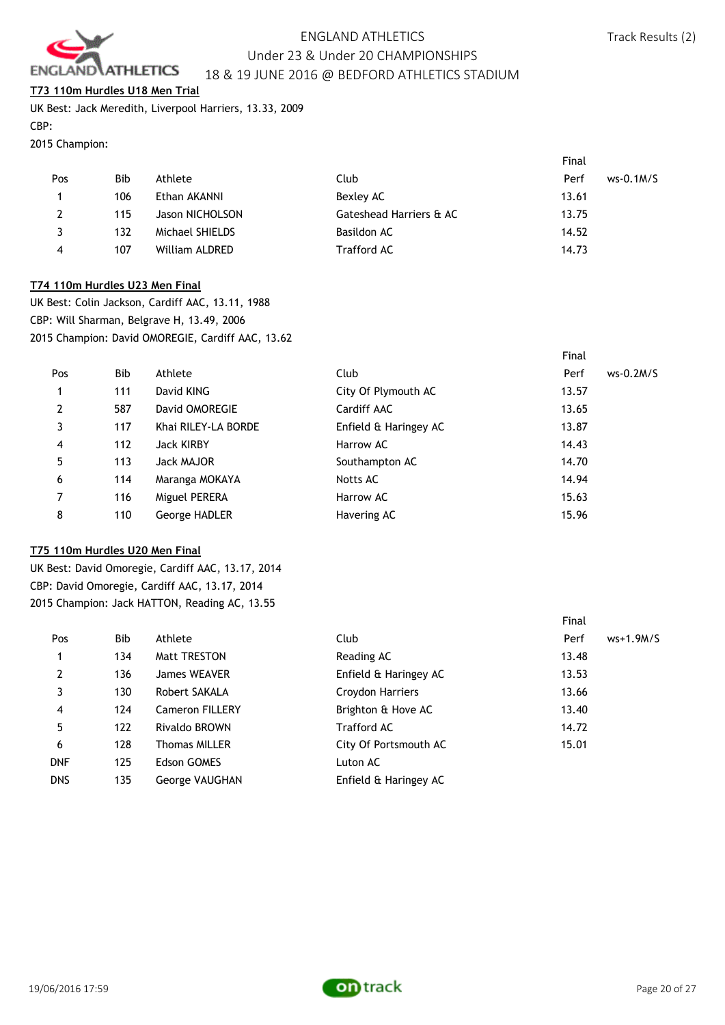

#### **T73 110m Hurdles U18 Men Trial**

UK Best: Jack Meredith, Liverpool Harriers, 13.33, 2009 CBP:

### 2015 Champion:

|     |     |                 |                         | Final               |
|-----|-----|-----------------|-------------------------|---------------------|
| Pos | Bib | Athlete         | Club                    | Perf<br>$ws-0.1M/S$ |
|     | 106 | Ethan AKANNI    | Bexley AC               | 13.61               |
|     | 115 | Jason NICHOLSON | Gateshead Harriers & AC | 13.75               |
|     | 132 | Michael SHIELDS | Basildon AC             | 14.52               |
| 4   | 107 | William ALDRED  | <b>Trafford AC</b>      | 14.73               |

#### **T74 110m Hurdles U23 Men Final**

UK Best: Colin Jackson, Cardiff AAC, 13.11, 1988 CBP: Will Sharman, Belgrave H, 13.49, 2006 2015 Champion: David OMOREGIE, Cardiff AAC, 13.62

|                |            |                     |                       | Final               |
|----------------|------------|---------------------|-----------------------|---------------------|
| Pos            | <b>Bib</b> | Athlete             | Club                  | Perf<br>$ws-0.2M/S$ |
|                | 111        | David KING          | City Of Plymouth AC   | 13.57               |
| $\overline{2}$ | 587        | David OMOREGIE      | Cardiff AAC           | 13.65               |
| 3              | 117        | Khai RILEY-LA BORDE | Enfield & Haringey AC | 13.87               |
| 4              | 112        | <b>Jack KIRBY</b>   | Harrow AC             | 14.43               |
| 5              | 113        | Jack MAJOR          | Southampton AC        | 14.70               |
| 6              | 114        | Maranga MOKAYA      | Notts AC              | 14.94               |
| 7              | 116        | Miguel PERERA       | Harrow AC             | 15.63               |
| 8              | 110        | George HADLER       | Havering AC           | 15.96               |

### **T75 110m Hurdles U20 Men Final**

UK Best: David Omoregie, Cardiff AAC, 13.17, 2014 CBP: David Omoregie, Cardiff AAC, 13.17, 2014 2015 Champion: Jack HATTON, Reading AC, 13.55

|            |     |                        |                       | Final |             |
|------------|-----|------------------------|-----------------------|-------|-------------|
| Pos        | Bib | Athlete                | Club                  | Perf  | $ws+1.9M/S$ |
| 1          | 134 | <b>Matt TRESTON</b>    | Reading AC            | 13.48 |             |
| 2          | 136 | James WEAVER           | Enfield & Haringey AC | 13.53 |             |
| 3          | 130 | Robert SAKALA          | Croydon Harriers      | 13.66 |             |
| 4          | 124 | <b>Cameron FILLERY</b> | Brighton & Hove AC    | 13.40 |             |
| 5          | 122 | Rivaldo BROWN          | <b>Trafford AC</b>    | 14.72 |             |
| 6          | 128 | <b>Thomas MILLER</b>   | City Of Portsmouth AC | 15.01 |             |
| <b>DNF</b> | 125 | <b>Edson GOMES</b>     | Luton AC              |       |             |
| <b>DNS</b> | 135 | George VAUGHAN         | Enfield & Haringey AC |       |             |

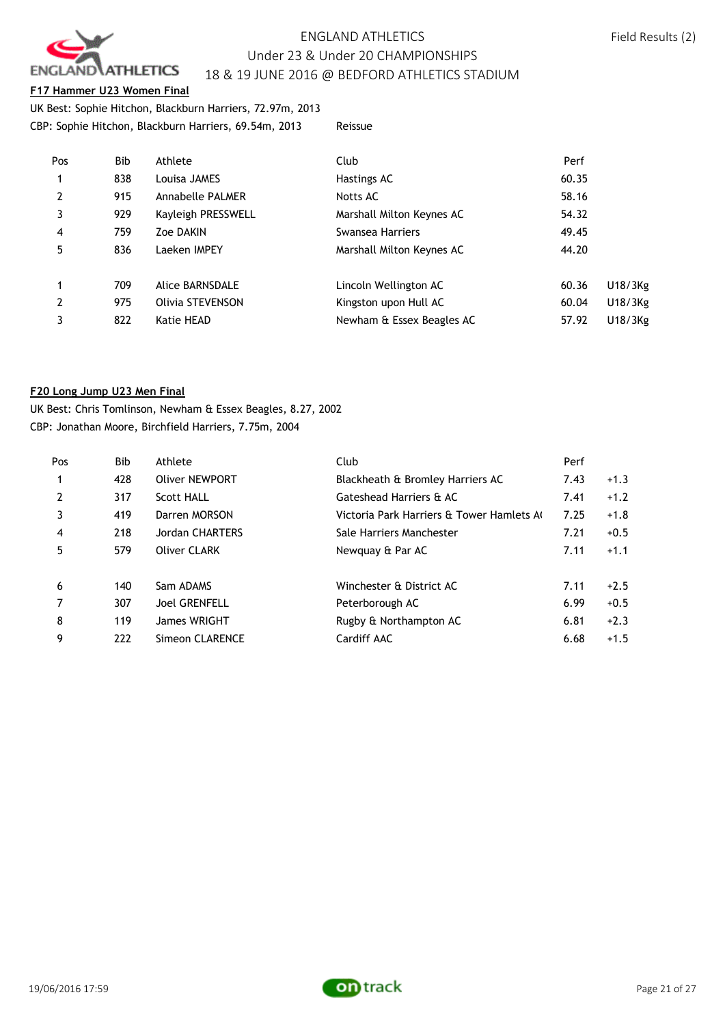

#### **F17 Hammer U23 Women Final**

UK Best: Sophie Hitchon, Blackburn Harriers, 72.97m, 2013 CBP: Sophie Hitchon, Blackburn Harriers, 69.54m, 2013 Reissue

| Pos            | Bib | Athlete                 | Club                      | Perf  |         |
|----------------|-----|-------------------------|---------------------------|-------|---------|
| $\mathbf{1}$   | 838 | Louisa JAMES            | Hastings AC               | 60.35 |         |
| $\overline{2}$ | 915 | <b>Annabelle PALMER</b> | Notts AC                  | 58.16 |         |
| 3              | 929 | Kayleigh PRESSWELL      | Marshall Milton Keynes AC | 54.32 |         |
| $\overline{4}$ | 759 | Zoe DAKIN               | Swansea Harriers          | 49.45 |         |
| 5              | 836 | Laeken IMPEY            | Marshall Milton Keynes AC | 44.20 |         |
| 1              | 709 | Alice BARNSDALE         | Lincoln Wellington AC     | 60.36 | U18/3Kg |
| $\overline{2}$ | 975 | Olivia STEVENSON        | Kingston upon Hull AC     | 60.04 | U18/3Kg |
| 3              | 822 | Katie HEAD              | Newham & Essex Beagles AC | 57.92 | U18/3Kg |
|                |     |                         |                           |       |         |

#### **F20 Long Jump U23 Men Final**

UK Best: Chris Tomlinson, Newham & Essex Beagles, 8.27, 2002 CBP: Jonathan Moore, Birchfield Harriers, 7.75m, 2004

| Pos            | Bib | Athlete                | Club                                     | Perf |        |
|----------------|-----|------------------------|------------------------------------------|------|--------|
| $\mathbf{1}$   | 428 | <b>Oliver NEWPORT</b>  | Blackheath & Bromley Harriers AC         | 7.43 | $+1.3$ |
| 2              | 317 | <b>Scott HALL</b>      | Gateshead Harriers & AC                  | 7.41 | $+1.2$ |
| 3              | 419 | Darren MORSON          | Victoria Park Harriers & Tower Hamlets A | 7.25 | $+1.8$ |
| $\overline{4}$ | 218 | <b>Jordan CHARTERS</b> | Sale Harriers Manchester                 | 7.21 | $+0.5$ |
| 5              | 579 | Oliver CLARK           | Newquay & Par AC                         | 7.11 | $+1.1$ |
| 6              | 140 | Sam ADAMS              | Winchester & District AC                 | 7.11 | $+2.5$ |
| $\overline{7}$ | 307 | <b>Joel GRENFELL</b>   | Peterborough AC                          | 6.99 | $+0.5$ |
| 8              | 119 | James WRIGHT           | Rugby & Northampton AC                   | 6.81 | $+2.3$ |
| 9              | 222 | Simeon CLARENCE        | Cardiff AAC                              | 6.68 | $+1.5$ |

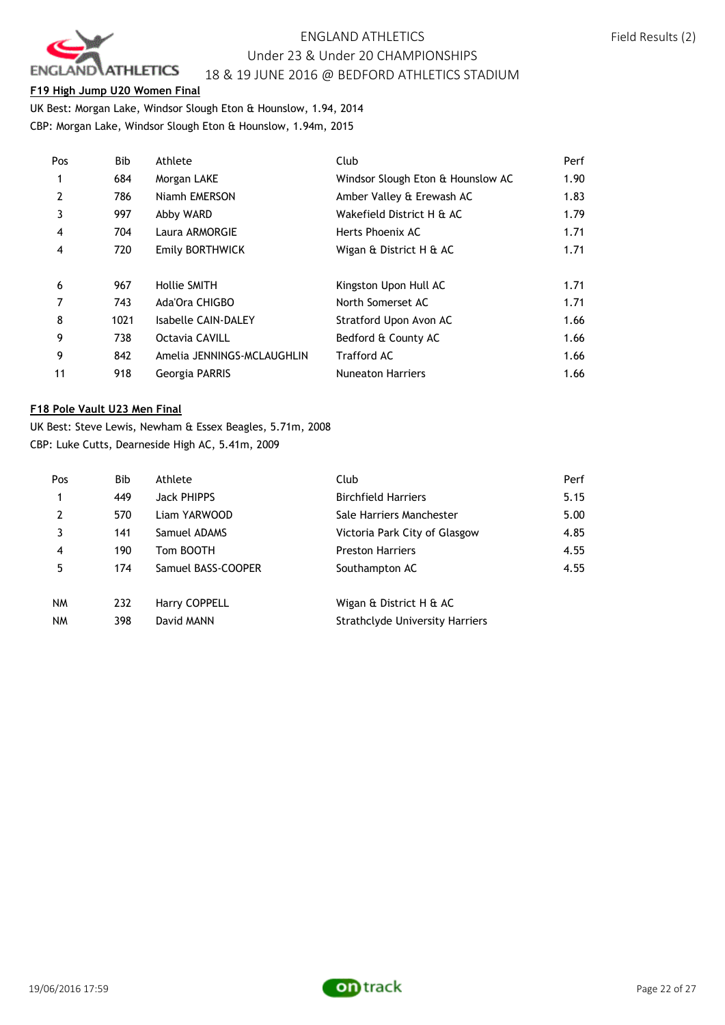

#### **F19 High Jump U20 Women Final**

UK Best: Morgan Lake, Windsor Slough Eton & Hounslow, 1.94, 2014 CBP: Morgan Lake, Windsor Slough Eton & Hounslow, 1.94m, 2015

| Pos            | Bib  | Athlete                    | Club                              | Perf |
|----------------|------|----------------------------|-----------------------------------|------|
| 1              | 684  | Morgan LAKE                | Windsor Slough Eton & Hounslow AC | 1.90 |
| $\overline{2}$ | 786  | Niamh EMERSON              | Amber Valley & Erewash AC         | 1.83 |
| 3              | 997  | Abby WARD                  | Wakefield District H & AC         | 1.79 |
| $\overline{4}$ | 704  | Laura ARMORGIE             | Herts Phoenix AC                  | 1.71 |
| 4              | 720  | Emily BORTHWICK            | Wigan & District H & AC           | 1.71 |
|                |      |                            |                                   |      |
| 6              | 967  | Hollie SMITH               | Kingston Upon Hull AC             | 1.71 |
| 7              | 743  | Ada'Ora CHIGBO             | North Somerset AC                 | 1.71 |
| 8              | 1021 | Isabelle CAIN-DALEY        | Stratford Upon Avon AC            | 1.66 |
| 9              | 738  | Octavia CAVILL             | Bedford & County AC               | 1.66 |
| 9              | 842  | Amelia JENNINGS-MCLAUGHLIN | <b>Trafford AC</b>                | 1.66 |
| 11             | 918  | Georgia PARRIS             | <b>Nuneaton Harriers</b>          | 1.66 |

#### **F18 Pole Vault U23 Men Final**

UK Best: Steve Lewis, Newham & Essex Beagles, 5.71m, 2008 CBP: Luke Cutts, Dearneside High AC, 5.41m, 2009

| Pos            | Bib | Athlete            | Club                                   | Perf |
|----------------|-----|--------------------|----------------------------------------|------|
| 1              | 449 | Jack PHIPPS        | <b>Birchfield Harriers</b>             | 5.15 |
| $\overline{2}$ | 570 | Liam YARWOOD       | Sale Harriers Manchester               | 5.00 |
|                | 141 | Samuel ADAMS       | Victoria Park City of Glasgow          | 4.85 |
| $\overline{4}$ | 190 | Tom BOOTH          | <b>Preston Harriers</b>                | 4.55 |
| 5              | 174 | Samuel BASS-COOPER | Southampton AC                         | 4.55 |
| <b>NM</b>      | 232 | Harry COPPELL      | Wigan & District H & AC                |      |
| <b>NM</b>      | 398 | David MANN         | <b>Strathclyde University Harriers</b> |      |

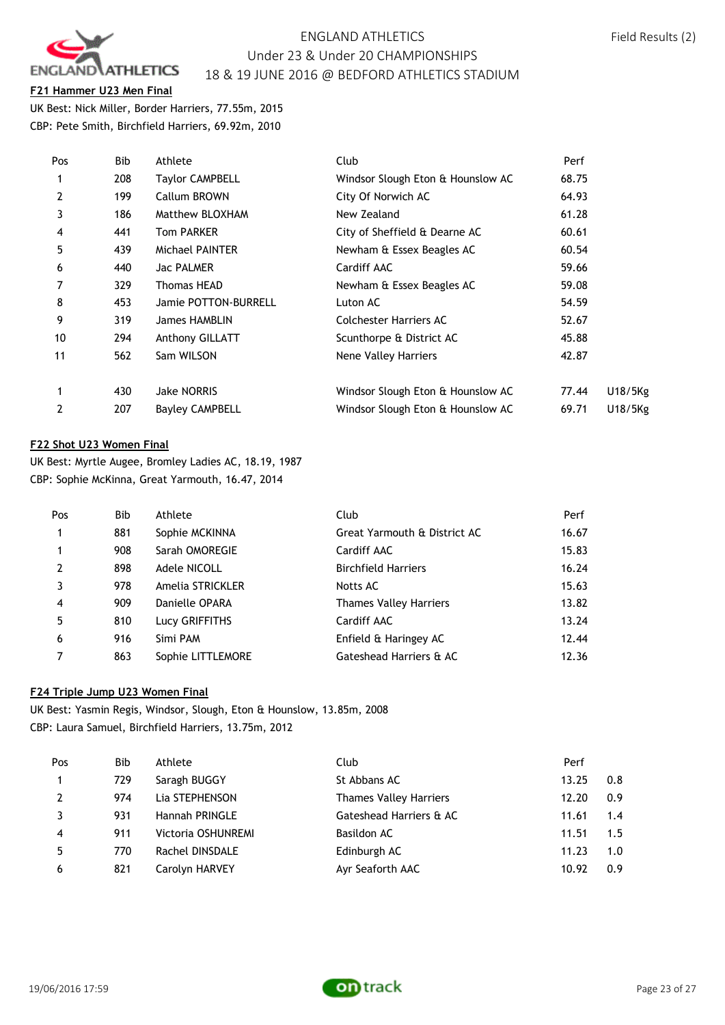

**F21 Hammer U23 Men Final**

UK Best: Nick Miller, Border Harriers, 77.55m, 2015 CBP: Pete Smith, Birchfield Harriers, 69.92m, 2010

| Pos | Bib | Athlete                | Club                              | Perf  |         |
|-----|-----|------------------------|-----------------------------------|-------|---------|
|     | 208 | Taylor CAMPBELL        | Windsor Slough Eton & Hounslow AC | 68.75 |         |
| 2   | 199 | Callum BROWN           | City Of Norwich AC                | 64.93 |         |
| 3   | 186 | Matthew BLOXHAM        | New Zealand                       | 61.28 |         |
| 4   | 441 | <b>Tom PARKER</b>      | City of Sheffield & Dearne AC     | 60.61 |         |
| 5   | 439 | Michael PAINTER        | Newham & Essex Beagles AC         | 60.54 |         |
| 6   | 440 | Jac PALMER             | Cardiff AAC                       | 59.66 |         |
| 7   | 329 | Thomas HEAD            | Newham & Essex Beagles AC         | 59.08 |         |
| 8   | 453 | Jamie POTTON-BURRELL   | Luton AC                          | 54.59 |         |
| 9   | 319 | James HAMBLIN          | Colchester Harriers AC            | 52.67 |         |
| 10  | 294 | Anthony GILLATT        | Scunthorpe & District AC          | 45.88 |         |
| 11  | 562 | Sam WILSON             | Nene Valley Harriers              | 42.87 |         |
|     | 430 | <b>Jake NORRIS</b>     | Windsor Slough Eton & Hounslow AC | 77.44 | U18/5Kg |
| 2   | 207 | <b>Bayley CAMPBELL</b> | Windsor Slough Eton & Hounslow AC | 69.71 | U18/5Kg |
|     |     |                        |                                   |       |         |

### **F22 Shot U23 Women Final**

UK Best: Myrtle Augee, Bromley Ladies AC, 18.19, 1987 CBP: Sophie McKinna, Great Yarmouth, 16.47, 2014

| Pos            | Bib | Athlete           | Club                          | Perf  |
|----------------|-----|-------------------|-------------------------------|-------|
| $\mathbf{1}$   | 881 | Sophie MCKINNA    | Great Yarmouth & District AC  | 16.67 |
| $\mathbf{1}$   | 908 | Sarah OMOREGIE    | Cardiff AAC                   | 15.83 |
| $\overline{2}$ | 898 | Adele NICOLL      | <b>Birchfield Harriers</b>    | 16.24 |
| 3              | 978 | Amelia STRICKLER  | Notts AC                      | 15.63 |
| $\overline{4}$ | 909 | Danielle OPARA    | <b>Thames Valley Harriers</b> | 13.82 |
| 5              | 810 | Lucy GRIFFITHS    | Cardiff AAC                   | 13.24 |
| 6              | 916 | Simi PAM          | Enfield & Haringey AC         | 12.44 |
|                | 863 | Sophie LITTLEMORE | Gateshead Harriers & AC       | 12.36 |

### **F24 Triple Jump U23 Women Final**

UK Best: Yasmin Regis, Windsor, Slough, Eton & Hounslow, 13.85m, 2008 CBP: Laura Samuel, Birchfield Harriers, 13.75m, 2012

| Pos            | Bib | Athlete            | Club                          | Perf  |     |
|----------------|-----|--------------------|-------------------------------|-------|-----|
| 1              | 729 | Saragh BUGGY       | St Abbans AC                  | 13.25 | 0.8 |
| $\overline{2}$ | 974 | Lia STEPHENSON     | <b>Thames Valley Harriers</b> | 12.20 | 0.9 |
|                | 931 | Hannah PRINGLE     | Gateshead Harriers & AC       | 11.61 | 1.4 |
| $\overline{4}$ | 911 | Victoria OSHUNREMI | Basildon AC                   | 11.51 | 1.5 |
| 5              | 770 | Rachel DINSDALE    | Edinburgh AC                  | 11.23 | 1.0 |
| 6              | 821 | Carolyn HARVEY     | Ayr Seaforth AAC              | 10.92 | 0.9 |

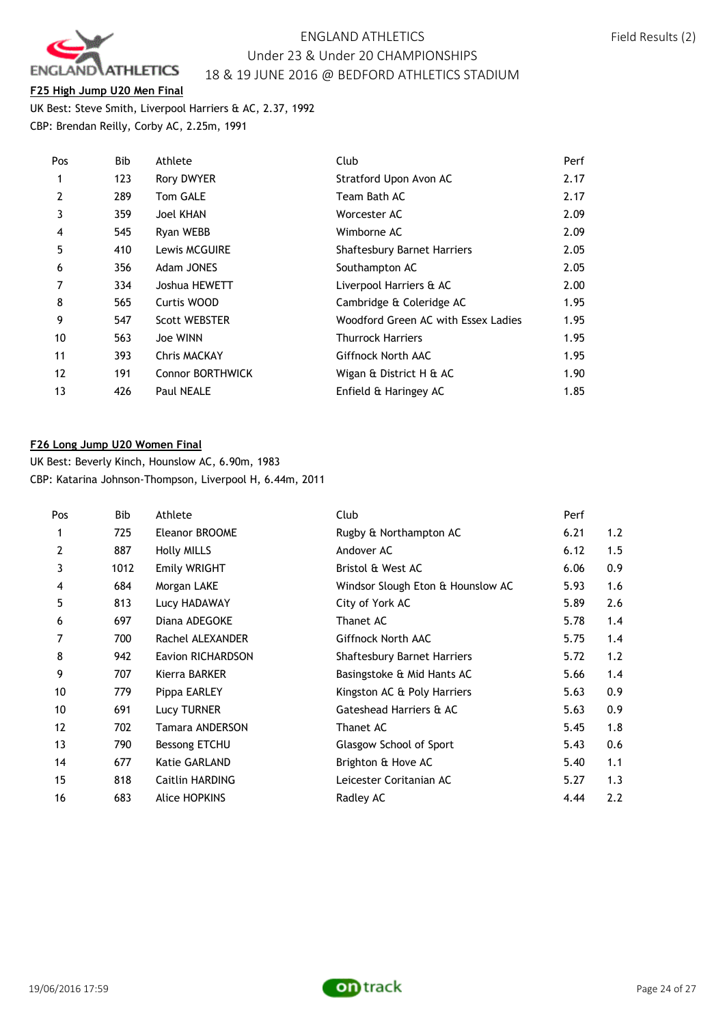

#### **F25 High Jump U20 Men Final**

UK Best: Steve Smith, Liverpool Harriers & AC, 2.37, 1992 CBP: Brendan Reilly, Corby AC, 2.25m, 1991

| Pos            | Bib | Athlete                 | Club                                | Perf |
|----------------|-----|-------------------------|-------------------------------------|------|
| 1              | 123 | <b>Rory DWYER</b>       | Stratford Upon Avon AC              | 2.17 |
| $\overline{2}$ | 289 | Tom GALE                | Team Bath AC                        | 2.17 |
| 3              | 359 | <b>Joel KHAN</b>        | Worcester AC                        | 2.09 |
| 4              | 545 | Ryan WEBB               | Wimborne AC                         | 2.09 |
| 5              | 410 | Lewis MCGUIRE           | <b>Shaftesbury Barnet Harriers</b>  | 2.05 |
| 6              | 356 | Adam JONES              | Southampton AC                      | 2.05 |
|                | 334 | Joshua HEWETT           | Liverpool Harriers & AC             | 2.00 |
| 8              | 565 | Curtis WOOD             | Cambridge & Coleridge AC            | 1.95 |
| 9              | 547 | <b>Scott WEBSTER</b>    | Woodford Green AC with Essex Ladies | 1.95 |
| 10             | 563 | Joe WINN                | <b>Thurrock Harriers</b>            | 1.95 |
| 11             | 393 | <b>Chris MACKAY</b>     | Giffnock North AAC                  | 1.95 |
| 12             | 191 | <b>Connor BORTHWICK</b> | Wigan & District H & AC             | 1.90 |
| 13             | 426 | <b>Paul NEALE</b>       | Enfield & Haringey AC               | 1.85 |

#### **F26 Long Jump U20 Women Final**

UK Best: Beverly Kinch, Hounslow AC, 6.90m, 1983 CBP: Katarina Johnson-Thompson, Liverpool H, 6.44m, 2011

| Pos            | <b>Bib</b> | Athlete            | Club                               | Perf |     |
|----------------|------------|--------------------|------------------------------------|------|-----|
| 1              | 725        | Eleanor BROOME     | Rugby & Northampton AC             | 6.21 | 1.2 |
| $\overline{2}$ | 887        | <b>Holly MILLS</b> | Andover AC                         | 6.12 | 1.5 |
| 3              | 1012       | Emily WRIGHT       | Bristol & West AC                  | 6.06 | 0.9 |
| 4              | 684        | Morgan LAKE        | Windsor Slough Eton & Hounslow AC  | 5.93 | 1.6 |
| 5              | 813        | Lucy HADAWAY       | City of York AC                    | 5.89 | 2.6 |
| 6              | 697        | Diana ADEGOKE      | Thanet AC                          | 5.78 | 1.4 |
| 7              | 700        | Rachel ALEXANDER   | Giffnock North AAC                 | 5.75 | 1.4 |
| 8              | 942        | Eavion RICHARDSON  | <b>Shaftesbury Barnet Harriers</b> | 5.72 | 1.2 |
| 9              | 707        | Kierra BARKER      | Basingstoke & Mid Hants AC         | 5.66 | 1.4 |
| 10             | 779        | Pippa EARLEY       | Kingston AC & Poly Harriers        | 5.63 | 0.9 |
| 10             | 691        | Lucy TURNER        | Gateshead Harriers & AC            | 5.63 | 0.9 |
| 12             | 702        | Tamara ANDERSON    | Thanet AC                          | 5.45 | 1.8 |
| 13             | 790        | Bessong ETCHU      | Glasgow School of Sport            | 5.43 | 0.6 |
| 14             | 677        | Katie GARLAND      | Brighton & Hove AC                 | 5.40 | 1.1 |
| 15             | 818        | Caitlin HARDING    | Leicester Coritanian AC            | 5.27 | 1.3 |
| 16             | 683        | Alice HOPKINS      | Radley AC                          | 4.44 | 2.2 |

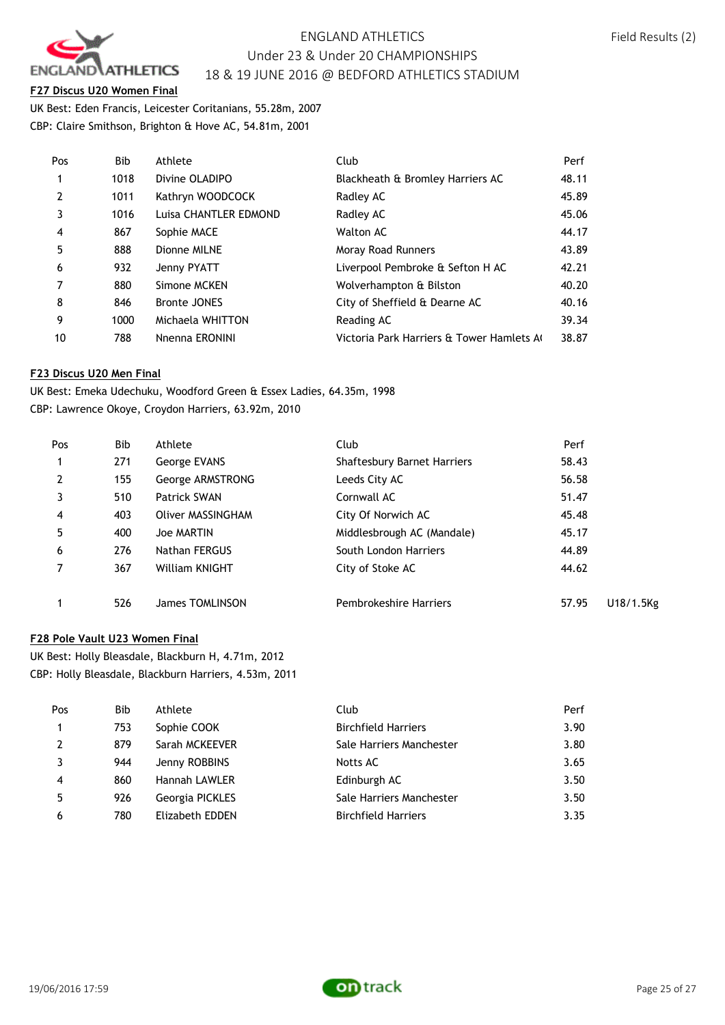

**F27 Discus U20 Women Final**

UK Best: Eden Francis, Leicester Coritanians, 55.28m, 2007 CBP: Claire Smithson, Brighton & Hove AC, 54.81m, 2001

| Pos            | <b>Bib</b> | Athlete               | Club                                     | Perf  |
|----------------|------------|-----------------------|------------------------------------------|-------|
| $\mathbf{1}$   | 1018       | Divine OLADIPO        | Blackheath & Bromley Harriers AC         | 48.11 |
| $\overline{2}$ | 1011       | Kathryn WOODCOCK      | Radley AC                                | 45.89 |
| 3              | 1016       | Luisa CHANTLER EDMOND | Radley AC                                | 45.06 |
| $\overline{4}$ | 867        | Sophie MACE           | <b>Walton AC</b>                         | 44.17 |
| 5              | 888        | Dionne MILNE          | Moray Road Runners                       | 43.89 |
| 6              | 932        | Jenny PYATT           | Liverpool Pembroke & Sefton H AC         | 42.21 |
| 7              | 880        | Simone MCKEN          | Wolverhampton & Bilston                  | 40.20 |
| 8              | 846        | <b>Bronte JONES</b>   | City of Sheffield & Dearne AC            | 40.16 |
| 9              | 1000       | Michaela WHITTON      | Reading AC                               | 39.34 |
| 10             | 788        | Nnenna ERONINI        | Victoria Park Harriers & Tower Hamlets A | 38.87 |

#### **F23 Discus U20 Men Final**

UK Best: Emeka Udechuku, Woodford Green & Essex Ladies, 64.35m, 1998 CBP: Lawrence Okoye, Croydon Harriers, 63.92m, 2010

| Pos | <b>Bib</b> | Athlete               | Club                        | Perf  |           |
|-----|------------|-----------------------|-----------------------------|-------|-----------|
| 1   | 271        | George EVANS          | Shaftesbury Barnet Harriers | 58.43 |           |
| 2   | 155        | George ARMSTRONG      | Leeds City AC               | 56.58 |           |
|     | 510        | Patrick SWAN          | Cornwall AC                 | 51.47 |           |
| 4   | 403        | Oliver MASSINGHAM     | City Of Norwich AC          | 45.48 |           |
| 5   | 400        | Joe MARTIN            | Middlesbrough AC (Mandale)  | 45.17 |           |
| 6   | 276        | Nathan FERGUS         | South London Harriers       | 44.89 |           |
| 7   | 367        | <b>William KNIGHT</b> | City of Stoke AC            | 44.62 |           |
|     | 526        | James TOMLINSON       | Pembrokeshire Harriers      | 57.95 | U18/1.5Ks |

### **F28 Pole Vault U23 Women Final**

UK Best: Holly Bleasdale, Blackburn H, 4.71m, 2012 CBP: Holly Bleasdale, Blackburn Harriers, 4.53m, 2011

| Pos            | Bib | Athlete         | Club                       | Perf |
|----------------|-----|-----------------|----------------------------|------|
| $\mathbf{1}$   | 753 | Sophie COOK     | <b>Birchfield Harriers</b> | 3.90 |
| 2              | 879 | Sarah MCKEEVER  | Sale Harriers Manchester   | 3.80 |
| 3              | 944 | Jenny ROBBINS   | Notts AC                   | 3.65 |
| $\overline{4}$ | 860 | Hannah LAWLER   | Edinburgh AC               | 3.50 |
| .5             | 926 | Georgia PICKLES | Sale Harriers Manchester   | 3.50 |
| 6              | 780 | Elizabeth EDDEN | <b>Birchfield Harriers</b> | 3.35 |

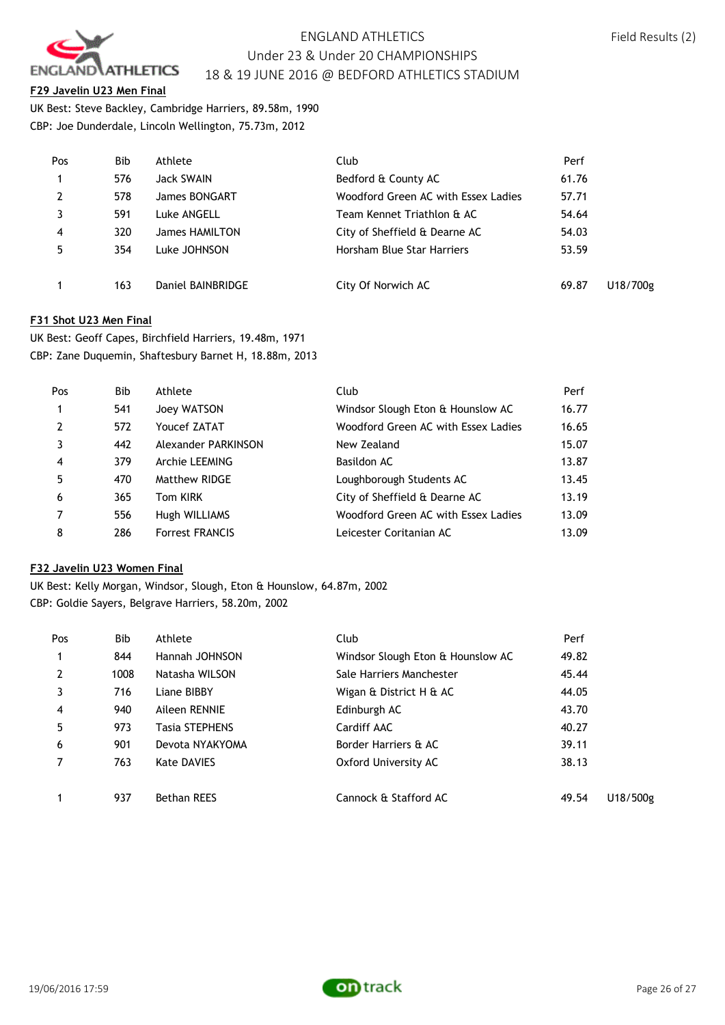

#### **F29 Javelin U23 Men Final**

UK Best: Steve Backley, Cambridge Harriers, 89.58m, 1990 CBP: Joe Dunderdale, Lincoln Wellington, 75.73m, 2012

| Pos            | <b>Bib</b> | Athlete           | Club                                | Perf  |          |
|----------------|------------|-------------------|-------------------------------------|-------|----------|
|                | 576        | Jack SWAIN        | Bedford & County AC                 | 61.76 |          |
| $\overline{2}$ | 578        | James BONGART     | Woodford Green AC with Essex Ladies | 57.71 |          |
|                | 591        | Luke ANGELL       | Team Kennet Triathlon & AC          | 54.64 |          |
| 4              | 320        | James HAMILTON    | City of Sheffield & Dearne AC       | 54.03 |          |
| 5              | 354        | Luke JOHNSON      | Horsham Blue Star Harriers          | 53.59 |          |
|                | 163        | Daniel BAINBRIDGE | City Of Norwich AC                  | 69.87 | U18/700g |

#### **F31 Shot U23 Men Final**

UK Best: Geoff Capes, Birchfield Harriers, 19.48m, 1971 CBP: Zane Duquemin, Shaftesbury Barnet H, 18.88m, 2013

| Pos            | Bib | Athlete                | Club                                | Perf  |
|----------------|-----|------------------------|-------------------------------------|-------|
| 1              | 541 | Joey WATSON            | Windsor Slough Eton & Hounslow AC   | 16.77 |
| $\overline{2}$ | 572 | Youcef ZATAT           | Woodford Green AC with Essex Ladies | 16.65 |
|                | 442 | Alexander PARKINSON    | New Zealand                         | 15.07 |
| $\overline{4}$ | 379 | Archie LEEMING         | Basildon AC                         | 13.87 |
| 5              | 470 | Matthew RIDGE          | Loughborough Students AC            | 13.45 |
| 6              | 365 | Tom KIRK               | City of Sheffield & Dearne AC       | 13.19 |
|                | 556 | Hugh WILLIAMS          | Woodford Green AC with Essex Ladies | 13.09 |
| 8              | 286 | <b>Forrest FRANCIS</b> | Leicester Coritanian AC             | 13.09 |

### **F32 Javelin U23 Women Final**

UK Best: Kelly Morgan, Windsor, Slough, Eton & Hounslow, 64.87m, 2002 CBP: Goldie Sayers, Belgrave Harriers, 58.20m, 2002

| Pos            | <b>Bib</b> | Athlete               | Club                              | Perf  |          |
|----------------|------------|-----------------------|-----------------------------------|-------|----------|
| $\mathbf{1}$   | 844        | Hannah JOHNSON        | Windsor Slough Eton & Hounslow AC | 49.82 |          |
| $\overline{2}$ | 1008       | Natasha WILSON        | Sale Harriers Manchester          | 45.44 |          |
| 3              | 716        | Liane BIBBY           | Wigan & District H & AC           | 44.05 |          |
| $\overline{4}$ | 940        | Aileen RENNIE         | Edinburgh AC                      | 43.70 |          |
| 5              | 973        | <b>Tasia STEPHENS</b> | Cardiff AAC                       | 40.27 |          |
| 6              | 901        | Devota NYAKYOMA       | Border Harriers & AC              | 39.11 |          |
| 7              | 763        | Kate DAVIES           | Oxford University AC              | 38.13 |          |
|                | 937        | <b>Bethan REES</b>    | Cannock & Stafford AC             | 49.54 | U18/500g |